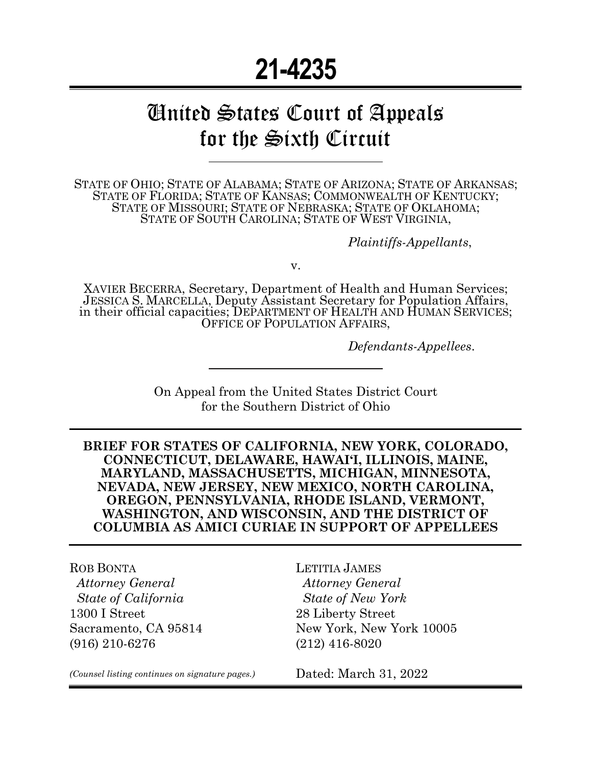# **21-4235**

# United States Court of Appeals for the Sixth Circuit

STATE OF OHIO; STATE OF ALABAMA; STATE OF ARIZONA; STATE OF ARKANSAS; STATE OF FLORIDA; STATE OF KANSAS; COMMONWEALTH OF KENTUCKY; STATE OF MISSOURI; STATE OF NEBRASKA; STATE OF OKLAHOMA; STATE OF SOUTH CAROLINA; STATE OF WEST VIRGINIA,

*Plaintiffs-Appellants*,

v.

XAVIER BECERRA, Secretary, Department of Health and Human Services; JESSICA S. MARCELLA, Deputy Assistant Secretary for Population Affairs, in their official capacities; DEPARTMENT OF HEALTH AND HUMAN SERVICES; OFFICE OF POPULATION AFFAIRS,

*Defendants-Appellees*.

On Appeal from the United States District Court for the Southern District of Ohio

**BRIEF FOR STATES OF CALIFORNIA, NEW YORK, COLORADO, CONNECTICUT, DELAWARE, HAWAI'I, ILLINOIS, MAINE, MARYLAND, MASSACHUSETTS, MICHIGAN, MINNESOTA, NEVADA, NEW JERSEY, NEW MEXICO, NORTH CAROLINA, OREGON, PENNSYLVANIA, RHODE ISLAND, VERMONT, WASHINGTON, AND WISCONSIN, AND THE DISTRICT OF COLUMBIA AS AMICI CURIAE IN SUPPORT OF APPELLEES**

ROB BONTA  *Attorney General State of California* 1300 I Street Sacramento, CA 95814 (916) 210-6276

LETITIA JAMES  *Attorney General State of New York* 28 Liberty Street New York, New York 10005 (212) 416-8020

*(Counsel listing continues on signature pages.)*

Dated: March 31, 2022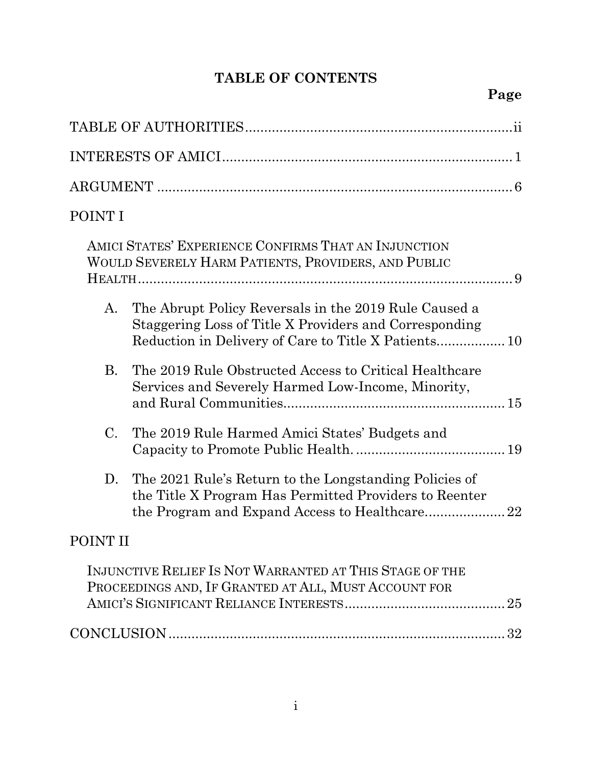### **TABLE OF CONTENTS**

| POINT I                                                                                                                   |
|---------------------------------------------------------------------------------------------------------------------------|
| AMICI STATES' EXPERIENCE CONFIRMS THAT AN INJUNCTION<br>WOULD SEVERELY HARM PATIENTS, PROVIDERS, AND PUBLIC               |
| The Abrupt Policy Reversals in the 2019 Rule Caused a<br>A.<br>Staggering Loss of Title X Providers and Corresponding     |
| The 2019 Rule Obstructed Access to Critical Healthcare<br><b>B.</b><br>Services and Severely Harmed Low-Income, Minority, |
| C.<br>The 2019 Rule Harmed Amici States' Budgets and                                                                      |
| The 2021 Rule's Return to the Longstanding Policies of<br>D.<br>the Title X Program Has Permitted Providers to Reenter    |
| POINT II                                                                                                                  |
| INJUNCTIVE RELIEF IS NOT WARRANTED AT THIS STAGE OF THE<br>PROCEEDINGS AND, IF GRANTED AT ALL, MUST ACCOUNT FOR           |
|                                                                                                                           |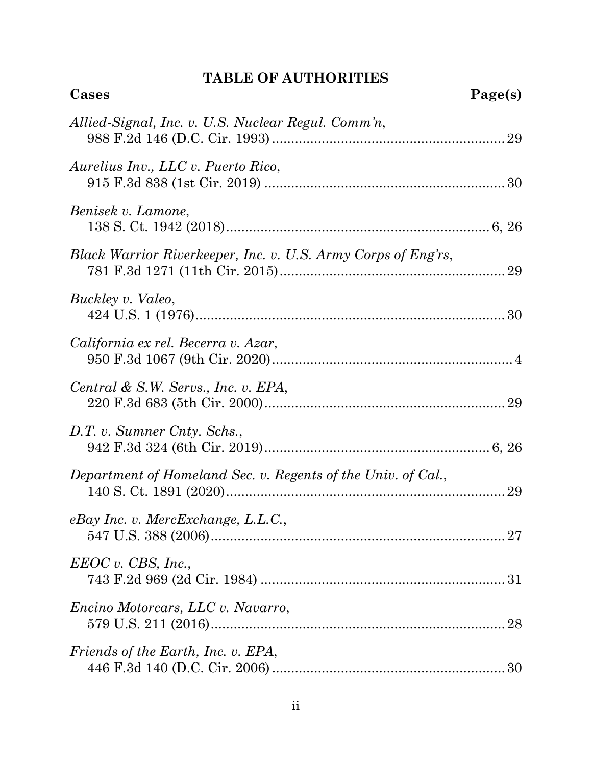### **TABLE OF AUTHORITIES**

<span id="page-2-0"></span>

| Cases                                                         | Page(s) |
|---------------------------------------------------------------|---------|
| Allied-Signal, Inc. v. U.S. Nuclear Regul. Comm'n,            |         |
| Aurelius Inv., LLC v. Puerto Rico,                            |         |
| Benisek v. Lamone,                                            |         |
| Black Warrior Riverkeeper, Inc. v. U.S. Army Corps of Eng'rs, |         |
| Buckley v. Valeo,                                             |         |
| California ex rel. Becerra v. Azar,                           |         |
| Central & S.W. Servs., Inc. v. EPA,                           |         |
| D.T. v. Sumner Cnty. Schs.,                                   |         |
| Department of Homeland Sec. v. Regents of the Univ. of Cal.,  |         |
| $e$ Bay Inc. v. MercExchange, L.L.C.,                         |         |
| EEOC v. CBS, Inc.,                                            |         |
| <i>Encino Motorcars, LLC v. Navarro,</i>                      |         |
| Friends of the Earth, Inc. v. EPA,                            |         |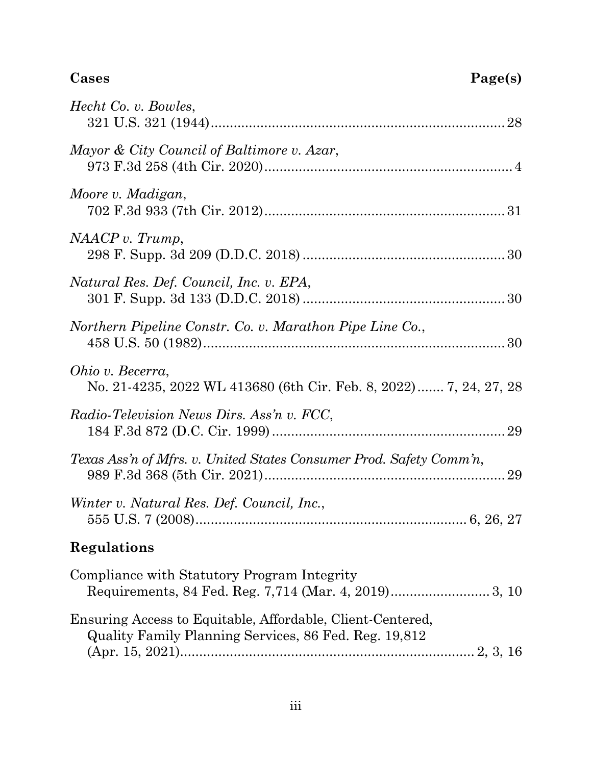## **Cases Page(s)**

| Hecht Co. v. Bowles,                                                                                                |
|---------------------------------------------------------------------------------------------------------------------|
| Mayor & City Council of Baltimore v. Azar,                                                                          |
| Moore v. Madigan,                                                                                                   |
| NAACP v. Trump,                                                                                                     |
| Natural Res. Def. Council, Inc. v. EPA,                                                                             |
| Northern Pipeline Constr. Co. v. Marathon Pipe Line Co.,                                                            |
| <i>Ohio v. Becerra,</i><br>No. 21-4235, 2022 WL 413680 (6th Cir. Feb. 8, 2022) 7, 24, 27, 28                        |
| Radio-Television News Dirs. Ass'n v. FCC,                                                                           |
| Texas Ass'n of Mfrs. v. United States Consumer Prod. Safety Comm'n,                                                 |
| Winter v. Natural Res. Def. Council, Inc.,                                                                          |
| Regulations                                                                                                         |
| Compliance with Statutory Program Integrity                                                                         |
| Ensuring Access to Equitable, Affordable, Client-Centered,<br>Quality Family Planning Services, 86 Fed. Reg. 19,812 |
|                                                                                                                     |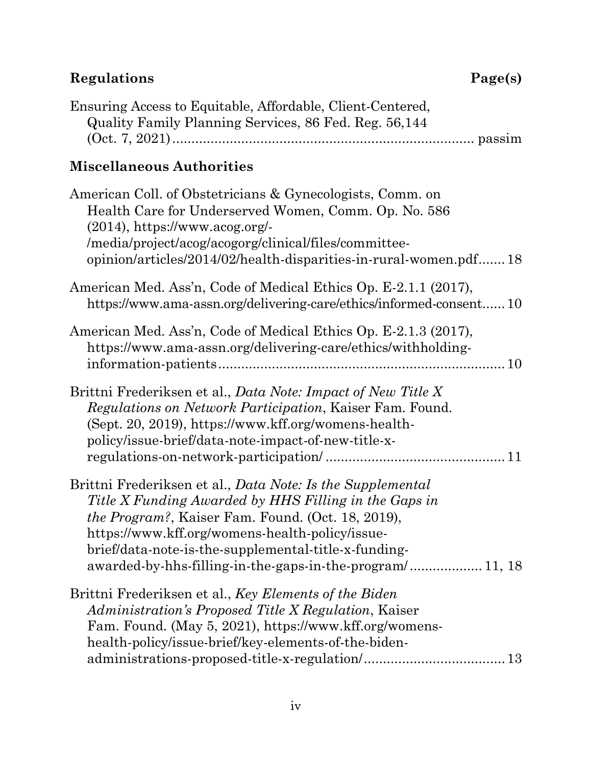## **Regulations Page(s)**

| Ensuring Access to Equitable, Affordable, Client-Centered, |  |
|------------------------------------------------------------|--|
| Quality Family Planning Services, 86 Fed. Reg. 56,144      |  |
|                                                            |  |

### **Miscellaneous Authorities**

| American Coll. of Obstetricians & Gynecologists, Comm. on<br>Health Care for Underserved Women, Comm. Op. No. 586<br>$(2014)$ , https://www.acog.org/-<br>/media/project/acog/acogorg/clinical/files/committee-<br>opinion/articles/2014/02/health-disparities-in-rural-women.pdf 18                                                                     |  |
|----------------------------------------------------------------------------------------------------------------------------------------------------------------------------------------------------------------------------------------------------------------------------------------------------------------------------------------------------------|--|
| American Med. Ass'n, Code of Medical Ethics Op. E-2.1.1 (2017),<br>https://www.ama-assn.org/delivering-care/ethics/informed-consent10                                                                                                                                                                                                                    |  |
| American Med. Ass'n, Code of Medical Ethics Op. E-2.1.3 (2017),<br>https://www.ama-assn.org/delivering-care/ethics/withholding-                                                                                                                                                                                                                          |  |
| Brittni Frederiksen et al., Data Note: Impact of New Title X<br>Regulations on Network Participation, Kaiser Fam. Found.<br>(Sept. 20, 2019), https://www.kff.org/womens-health-<br>policy/issue-brief/data-note-impact-of-new-title-x-                                                                                                                  |  |
| Brittni Frederiksen et al., Data Note: Is the Supplemental<br>Title X Funding Awarded by HHS Filling in the Gaps in<br><i>the Program?</i> , Kaiser Fam. Found. (Oct. 18, 2019),<br>https://www.kff.org/womens-health-policy/issue-<br>brief/data-note-is-the-supplemental-title-x-funding-<br>awarded-by-hhs-filling-in-the-gaps-in-the-program/ 11, 18 |  |
| Brittni Frederiksen et al., Key Elements of the Biden<br>Administration's Proposed Title X Regulation, Kaiser<br>Fam. Found. (May 5, 2021), https://www.kff.org/womens-<br>health-policy/issue-brief/key-elements-of-the-biden-                                                                                                                          |  |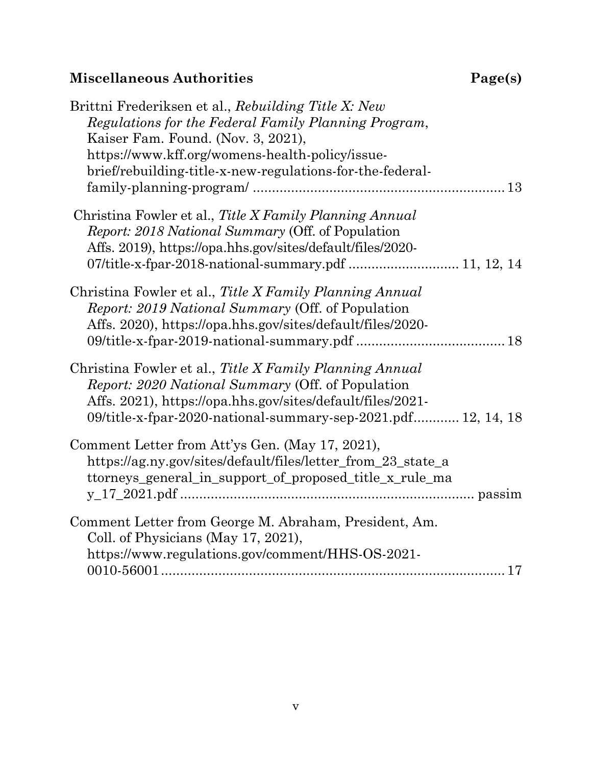### **Miscellaneous Authorities**

| Page(s) |  |
|---------|--|
|---------|--|

| Brittni Frederiksen et al., Rebuilding Title X: New                                                                                                                                                                                                 |  |
|-----------------------------------------------------------------------------------------------------------------------------------------------------------------------------------------------------------------------------------------------------|--|
| Regulations for the Federal Family Planning Program,                                                                                                                                                                                                |  |
| Kaiser Fam. Found. (Nov. 3, 2021),<br>https://www.kff.org/womens-health-policy/issue-                                                                                                                                                               |  |
| brief/rebuilding-title-x-new-regulations-for-the-federal-                                                                                                                                                                                           |  |
|                                                                                                                                                                                                                                                     |  |
| Christina Fowler et al., Title X Family Planning Annual<br><i>Report: 2018 National Summary (Off. of Population)</i><br>Affs. 2019), https://opa.hhs.gov/sites/default/files/2020-                                                                  |  |
|                                                                                                                                                                                                                                                     |  |
| Christina Fowler et al., Title X Family Planning Annual<br><i>Report: 2019 National Summary (Off. of Population)</i><br>Affs. 2020), https://opa.hhs.gov/sites/default/files/2020-                                                                  |  |
| Christina Fowler et al., Title X Family Planning Annual<br><i>Report: 2020 National Summary (Off. of Population)</i><br>Affs. 2021), https://opa.hhs.gov/sites/default/files/2021-<br>09/title-x-fpar-2020-national-summary-sep-2021.pdf 12, 14, 18 |  |
| Comment Letter from Att'ys Gen. (May 17, 2021),<br>https://ag.ny.gov/sites/default/files/letter_from_23_state_a<br>ttorneys_general_in_support_of_proposed_title_x_rule_ma                                                                          |  |
| Comment Letter from George M. Abraham, President, Am.<br>Coll. of Physicians (May 17, 2021),                                                                                                                                                        |  |
| https://www.regulations.gov/comment/HHS-OS-2021-                                                                                                                                                                                                    |  |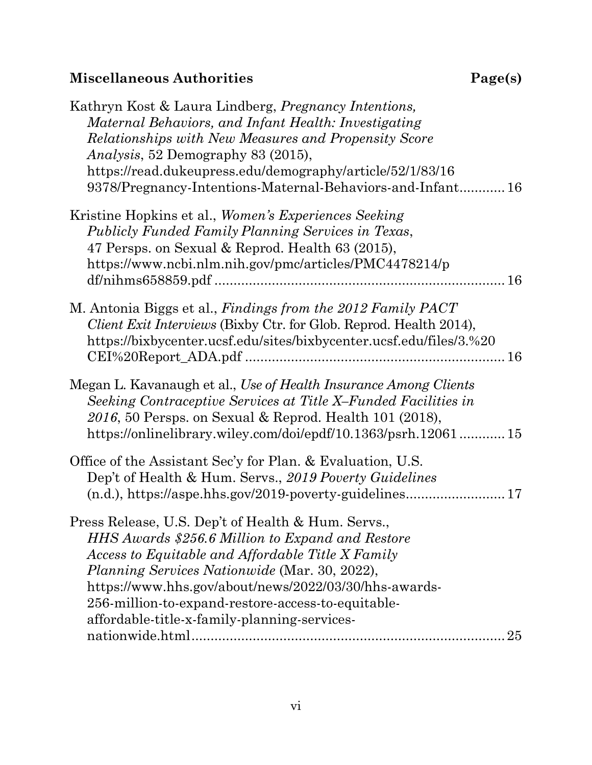### **Miscellaneous Authorities Page(s)**

| Kathryn Kost & Laura Lindberg, <i>Pregnancy Intentions</i> ,<br>Maternal Behaviors, and Infant Health: Investigating<br>Relationships with New Measures and Propensity Score<br><i>Analysis</i> , 52 Demography 83 (2015),<br>https://read.dukeupress.edu/demography/article/52/1/83/16<br>9378/Pregnancy-Intentions-Maternal-Behaviors-and-Infant 16                                    |
|------------------------------------------------------------------------------------------------------------------------------------------------------------------------------------------------------------------------------------------------------------------------------------------------------------------------------------------------------------------------------------------|
| Kristine Hopkins et al., Women's Experiences Seeking<br>Publicly Funded Family Planning Services in Texas,<br>47 Persps. on Sexual & Reprod. Health 63 (2015),<br>https://www.ncbi.nlm.nih.gov/pmc/articles/PMC4478214/p                                                                                                                                                                 |
| M. Antonia Biggs et al., Findings from the 2012 Family PACT<br>Client Exit Interviews (Bixby Ctr. for Glob. Reprod. Health 2014),<br>https://bixbycenter.ucsf.edu/sites/bixbycenter.ucsf.edu/files/3.%20                                                                                                                                                                                 |
| Megan L. Kavanaugh et al., Use of Health Insurance Among Clients<br>Seeking Contraceptive Services at Title X-Funded Facilities in<br>2016, 50 Persps. on Sexual & Reprod. Health 101 (2018),<br>https://onlinelibrary.wiley.com/doi/epdf/10.1363/psrh.1206115                                                                                                                           |
| Office of the Assistant Sec'y for Plan. & Evaluation, U.S.<br>Dep't of Health & Hum. Servs., 2019 Poverty Guidelines                                                                                                                                                                                                                                                                     |
| Press Release, U.S. Dep't of Health & Hum. Servs.,<br>HHS Awards \$256.6 Million to Expand and Restore<br>Access to Equitable and Affordable Title X Family<br><i>Planning Services Nationwide</i> (Mar. 30, 2022),<br>https://www.hhs.gov/about/news/2022/03/30/hhs-awards-<br>256-million-to-expand-restore-access-to-equitable-<br>affordable-title-x-family-planning-services-<br>25 |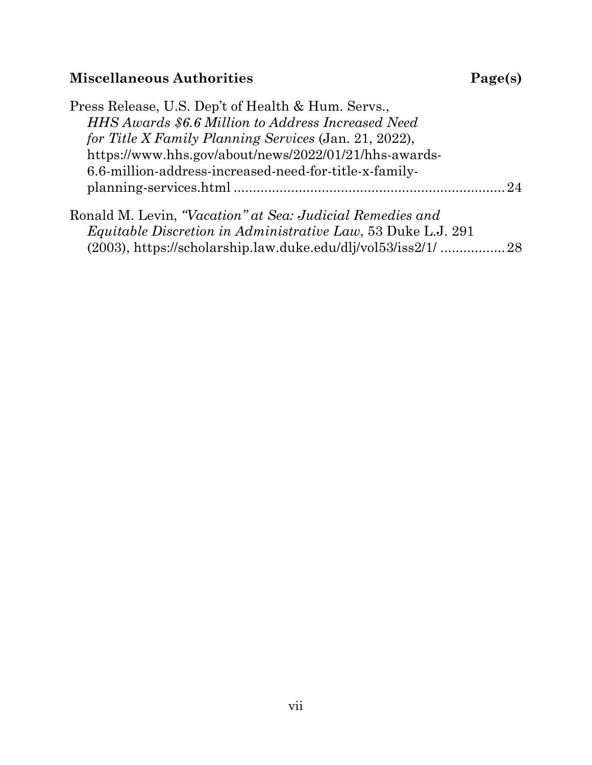### **Miscellaneous Authorities Page(s)**

| Press Release, U.S. Dep't of Health & Hum. Servs.,        |                |
|-----------------------------------------------------------|----------------|
| HHS Awards \$6.6 Million to Address Increased Need        |                |
| for Title X Family Planning Services (Jan. 21, 2022),     |                |
| https://www.hhs.gov/about/news/2022/01/21/hhs-awards-     |                |
| 6.6-million-address-increased-need-for-title-x-family-    |                |
|                                                           | 9 <sub>A</sub> |
| Ronald M. Levin, "Vacation" at Sea: Judicial Remedies and |                |

*Equitable Discretion in Administrative Law*, 53 Duke L.J. 291 (2003),<https://scholarship.law.duke.edu/dlj/vol53/iss2/1/> ................[.28](#page-35-3)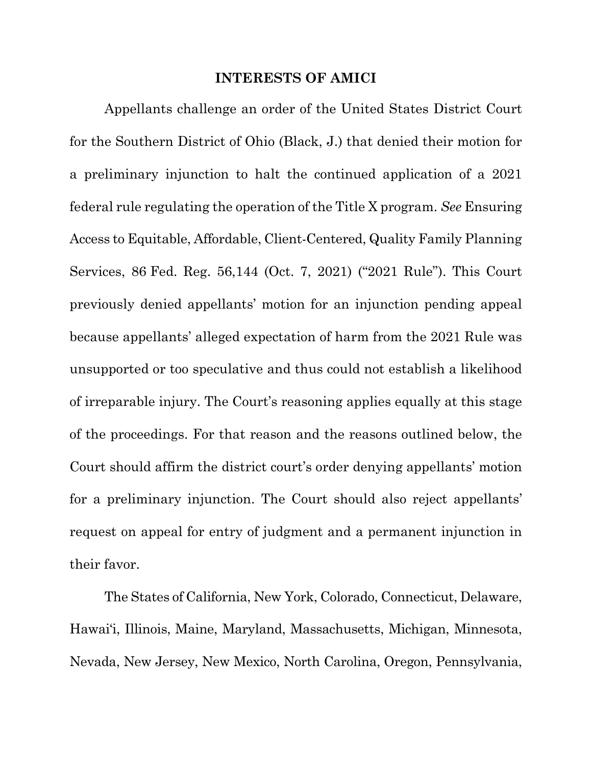#### **INTERESTS OF AMICI**

<span id="page-8-1"></span><span id="page-8-0"></span>Appellants challenge an order of the United States District Court for the Southern District of Ohio (Black, J.) that denied their motion for a preliminary injunction to halt the continued application of a 2021 federal rule regulating the operation of the Title X program. *See* Ensuring Access to Equitable, Affordable, Client-Centered, Quality Family Planning Services, 86 Fed. Reg. 56,144 (Oct. 7, 2021) ("2021 Rule"). This Court previously denied appellants' motion for an injunction pending appeal because appellants' alleged expectation of harm from the 2021 Rule was unsupported or too speculative and thus could not establish a likelihood of irreparable injury. The Court's reasoning applies equally at this stage of the proceedings. For that reason and the reasons outlined below, the Court should affirm the district court's order denying appellants' motion for a preliminary injunction. The Court should also reject appellants' request on appeal for entry of judgment and a permanent injunction in their favor.

The States of California, New York, Colorado, Connecticut, Delaware, Hawai'i, Illinois, Maine, Maryland, Massachusetts, Michigan, Minnesota, Nevada, New Jersey, New Mexico, North Carolina, Oregon, Pennsylvania,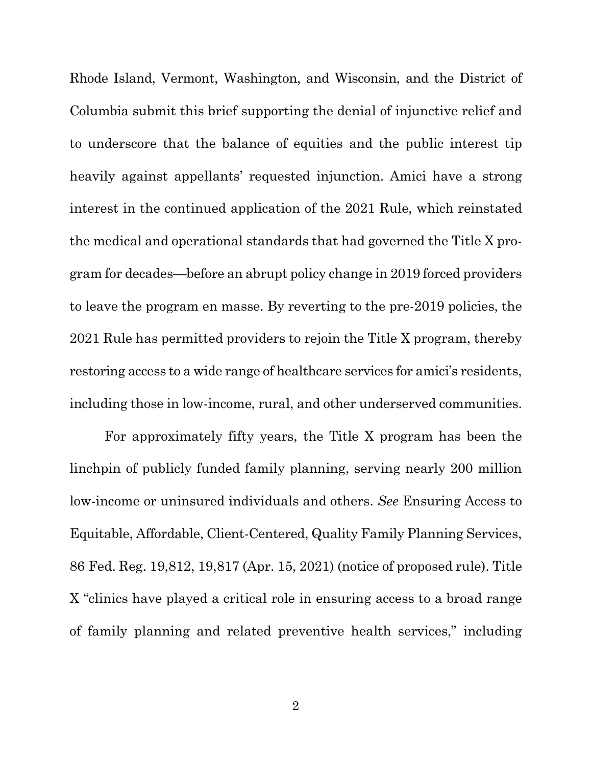Rhode Island, Vermont, Washington, and Wisconsin, and the District of Columbia submit this brief supporting the denial of injunctive relief and to underscore that the balance of equities and the public interest tip heavily against appellants' requested injunction. Amici have a strong interest in the continued application of the 2021 Rule, which reinstated the medical and operational standards that had governed the Title X program for decades—before an abrupt policy change in 2019 forced providers to leave the program en masse. By reverting to the pre-2019 policies, the 2021 Rule has permitted providers to rejoin the Title X program, thereby restoring access to a wide range of healthcare services for amici's residents, including those in low-income, rural, and other underserved communities.

<span id="page-9-0"></span>For approximately fifty years, the Title X program has been the linchpin of publicly funded family planning, serving nearly 200 million low-income or uninsured individuals and others. *See* Ensuring Access to Equitable, Affordable, Client-Centered, Quality Family Planning Services, 86 Fed. Reg. 19,812, 19,817 (Apr. 15, 2021) (notice of proposed rule). Title X "clinics have played a critical role in ensuring access to a broad range of family planning and related preventive health services," including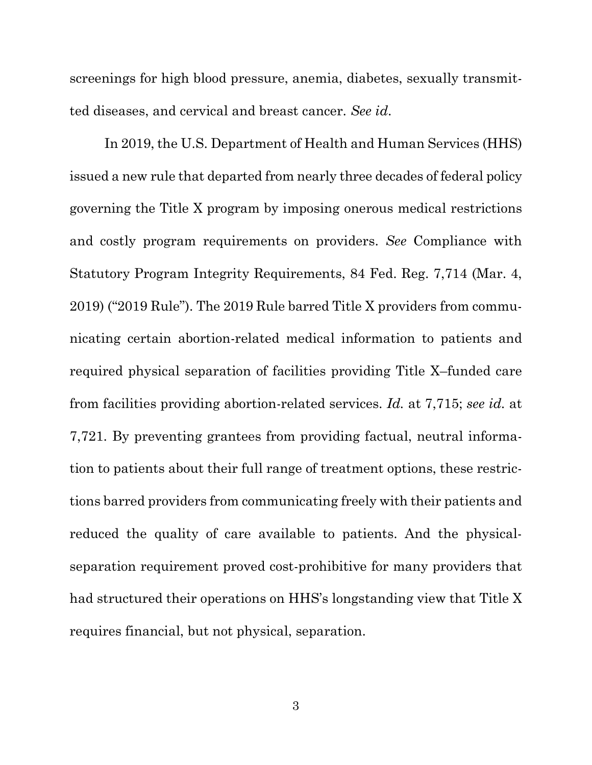<span id="page-10-1"></span>screenings for high blood pressure, anemia, diabetes, sexually transmitted diseases, and cervical and breast cancer. *See id*.

<span id="page-10-0"></span>In 2019, the U.S. Department of Health and Human Services (HHS) issued a new rule that departed from nearly three decades of federal policy governing the Title X program by imposing onerous medical restrictions and costly program requirements on providers. *See* Compliance with Statutory Program Integrity Requirements, 84 Fed. Reg. 7,714 (Mar. 4, 2019) ("2019 Rule"). The 2019 Rule barred Title X providers from communicating certain abortion-related medical information to patients and required physical separation of facilities providing Title X–funded care from facilities providing abortion-related services. *Id.* at 7,715; *see id.* at 7,721. By preventing grantees from providing factual, neutral information to patients about their full range of treatment options, these restrictions barred providers from communicating freely with their patients and reduced the quality of care available to patients. And the physicalseparation requirement proved cost-prohibitive for many providers that had structured their operations on HHS's longstanding view that Title X requires financial, but not physical, separation.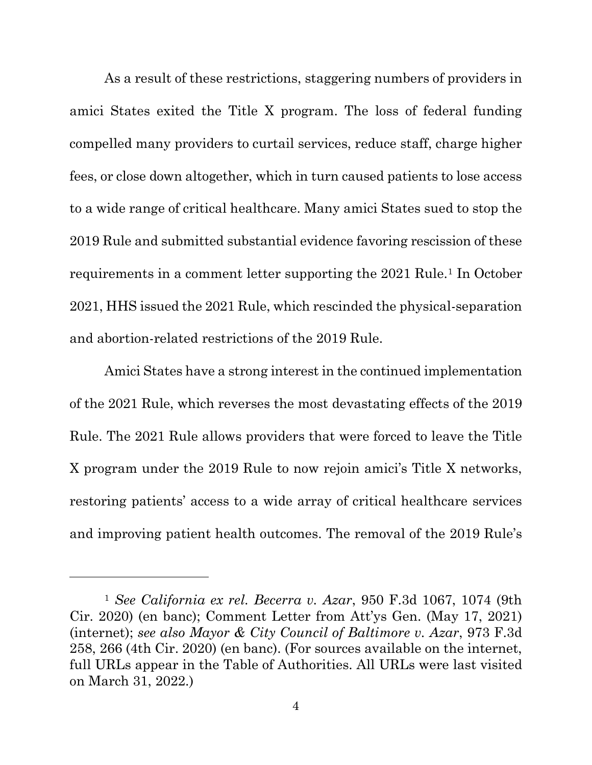As a result of these restrictions, staggering numbers of providers in amici States exited the Title X program. The loss of federal funding compelled many providers to curtail services, reduce staff, charge higher fees, or close down altogether, which in turn caused patients to lose access to a wide range of critical healthcare. Many amici States sued to stop the 2019 Rule and submitted substantial evidence favoring rescission of these requirements in a comment letter supporting the 2021 Rule.<sup>1</sup> In October 2021, HHS issued the 2021 Rule, which rescinded the physical-separation and abortion-related restrictions of the 2019 Rule.

Amici States have a strong interest in the continued implementation of the 2021 Rule, which reverses the most devastating effects of the 2019 Rule. The 2021 Rule allows providers that were forced to leave the Title X program under the 2019 Rule to now rejoin amici's Title X networks, restoring patients' access to a wide array of critical healthcare services and improving patient health outcomes. The removal of the 2019 Rule's

<span id="page-11-3"></span><span id="page-11-2"></span><span id="page-11-1"></span><span id="page-11-0"></span><sup>1</sup> *See California ex rel. Becerra v. Azar*, 950 F.3d 1067, 1074 (9th Cir. 2020) (en banc); Comment Letter from Att'ys Gen. (May 17, 2021) [\(internet\)](https://ag.ny.gov/sites/default/files/letter_from_23_state_attorneys_general_in_support_of_proposed_title_x_rule_may_17_2021.pdf); *see also Mayor & City Council of Baltimore v. Azar*, 973 F.3d 258, 266 (4th Cir. 2020) (en banc). (For sources available on the internet, full URLs appear in the Table of Authorities. All URLs were last visited on March 31, 2022.)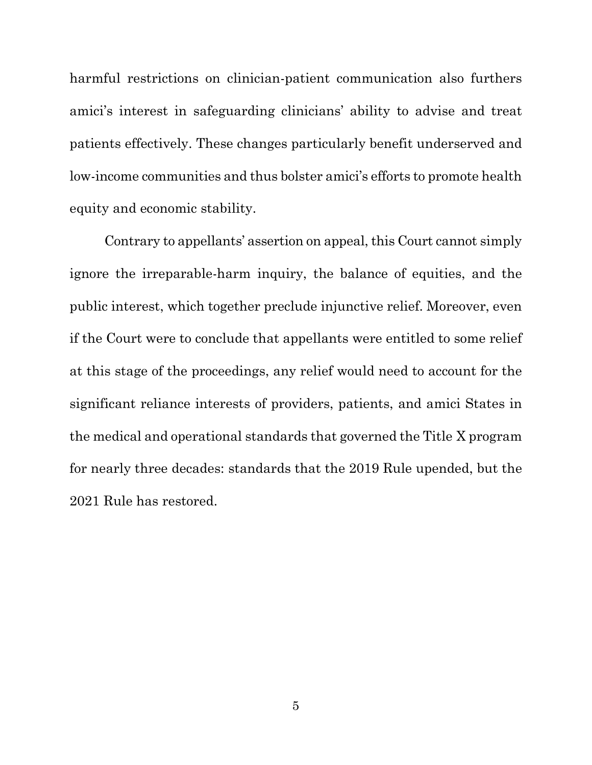harmful restrictions on clinician-patient communication also furthers amici's interest in safeguarding clinicians' ability to advise and treat patients effectively. These changes particularly benefit underserved and low-income communities and thus bolster amici's efforts to promote health equity and economic stability.

Contrary to appellants' assertion on appeal, this Court cannot simply ignore the irreparable-harm inquiry, the balance of equities, and the public interest, which together preclude injunctive relief. Moreover, even if the Court were to conclude that appellants were entitled to some relief at this stage of the proceedings, any relief would need to account for the significant reliance interests of providers, patients, and amici States in the medical and operational standards that governed the Title X program for nearly three decades: standards that the 2019 Rule upended, but the 2021 Rule has restored.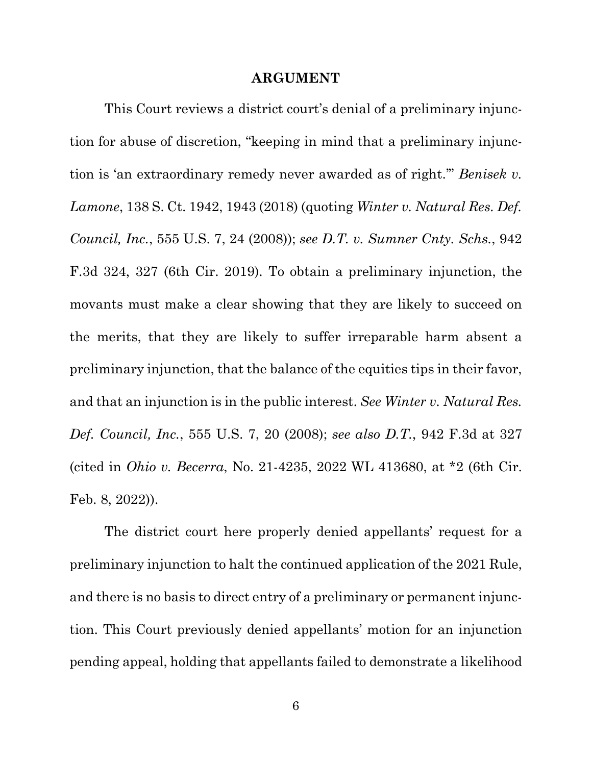#### <span id="page-13-3"></span><span id="page-13-2"></span><span id="page-13-1"></span>**ARGUMENT**

<span id="page-13-0"></span>This Court reviews a district court's denial of a preliminary injunction for abuse of discretion, "keeping in mind that a preliminary injunction is 'an extraordinary remedy never awarded as of right.'" *Benisek v. Lamone*, 138 S. Ct. 1942, 1943 (2018) (quoting *Winter v. Natural Res. Def. Council, Inc.*, 555 U.S. 7, 24 (2008)); *see D.T. v. Sumner Cnty. Schs.*, 942 F.3d 324, 327 (6th Cir. 2019). To obtain a preliminary injunction, the movants must make a clear showing that they are likely to succeed on the merits, that they are likely to suffer irreparable harm absent a preliminary injunction, that the balance of the equities tips in their favor, and that an injunction is in the public interest. *See Winter v. Natural Res. Def. Council, Inc.*, 555 U.S. 7, 20 (2008); *see also D.T.*, 942 F.3d at 327 (cited in *Ohio v. Becerra*, No. 21-4235, 2022 WL 413680, at \*2 (6th Cir. Feb. 8, 2022)).

The district court here properly denied appellants' request for a preliminary injunction to halt the continued application of the 2021 Rule, and there is no basis to direct entry of a preliminary or permanent injunction. This Court previously denied appellants' motion for an injunction pending appeal, holding that appellants failed to demonstrate a likelihood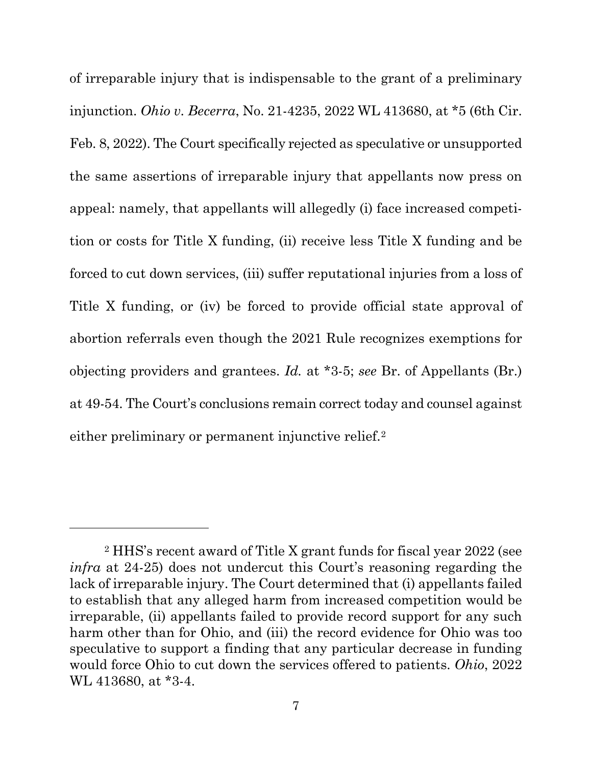<span id="page-14-0"></span>of irreparable injury that is indispensable to the grant of a preliminary injunction. *Ohio v. Becerra*, No. 21-4235, 2022 WL 413680, at \*5 (6th Cir. Feb. 8, 2022). The Court specifically rejected as speculative or unsupported the same assertions of irreparable injury that appellants now press on appeal: namely, that appellants will allegedly (i) face increased competition or costs for Title X funding, (ii) receive less Title X funding and be forced to cut down services, (iii) suffer reputational injuries from a loss of Title X funding, or (iv) be forced to provide official state approval of abortion referrals even though the 2021 Rule recognizes exemptions for objecting providers and grantees. *Id.* at \*3-5; *see* Br. of Appellants (Br.) at 49-54. The Court's conclusions remain correct today and counsel against either preliminary or permanent injunctive relief.<sup>[2](#page-14-1)</sup>

<span id="page-14-1"></span><sup>2</sup> HHS's recent award of Title X grant funds for fiscal year 2022 (see *infra* at 24-25) does not undercut this Court's reasoning regarding the lack of irreparable injury. The Court determined that (i) appellants failed to establish that any alleged harm from increased competition would be irreparable, (ii) appellants failed to provide record support for any such harm other than for Ohio, and (iii) the record evidence for Ohio was too speculative to support a finding that any particular decrease in funding would force Ohio to cut down the services offered to patients. *Ohio*, 2022 WL 413680, at \*3-4.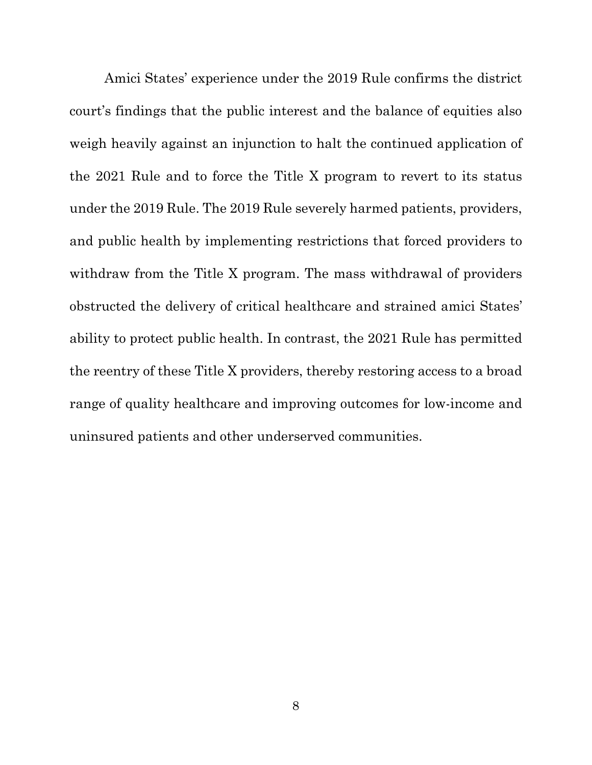Amici States' experience under the 2019 Rule confirms the district court's findings that the public interest and the balance of equities also weigh heavily against an injunction to halt the continued application of the 2021 Rule and to force the Title X program to revert to its status under the 2019 Rule. The 2019 Rule severely harmed patients, providers, and public health by implementing restrictions that forced providers to withdraw from the Title X program. The mass withdrawal of providers obstructed the delivery of critical healthcare and strained amici States' ability to protect public health. In contrast, the 2021 Rule has permitted the reentry of these Title X providers, thereby restoring access to a broad range of quality healthcare and improving outcomes for low-income and uninsured patients and other underserved communities.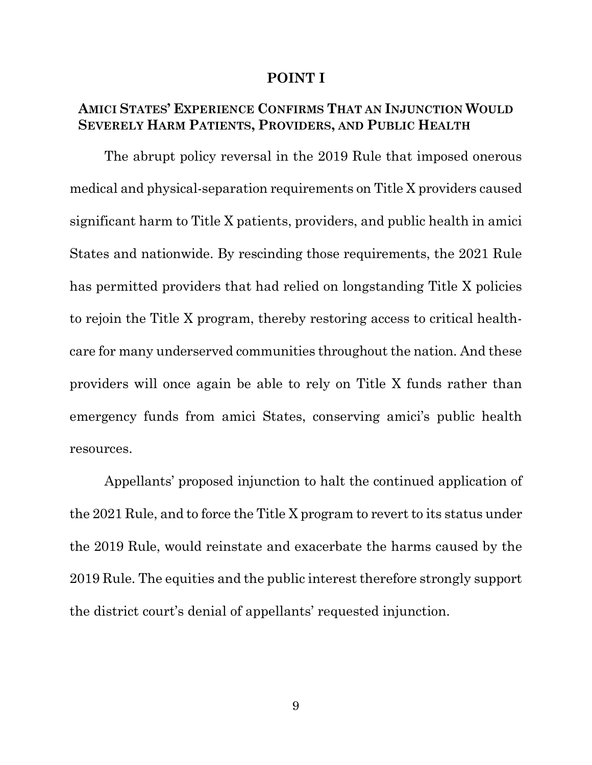#### **POINT I**

#### <span id="page-16-1"></span><span id="page-16-0"></span>**AMICI STATES' EXPERIENCE CONFIRMS THAT AN INJUNCTION WOULD SEVERELY HARM PATIENTS, PROVIDERS, AND PUBLIC HEALTH**

The abrupt policy reversal in the 2019 Rule that imposed onerous medical and physical-separation requirements on Title X providers caused significant harm to Title X patients, providers, and public health in amici States and nationwide. By rescinding those requirements, the 2021 Rule has permitted providers that had relied on longstanding Title X policies to rejoin the Title X program, thereby restoring access to critical healthcare for many underserved communities throughout the nation. And these providers will once again be able to rely on Title X funds rather than emergency funds from amici States, conserving amici's public health resources.

Appellants' proposed injunction to halt the continued application of the 2021 Rule, and to force the Title X program to revert to its status under the 2019 Rule, would reinstate and exacerbate the harms caused by the 2019 Rule. The equities and the public interest therefore strongly support the district court's denial of appellants' requested injunction.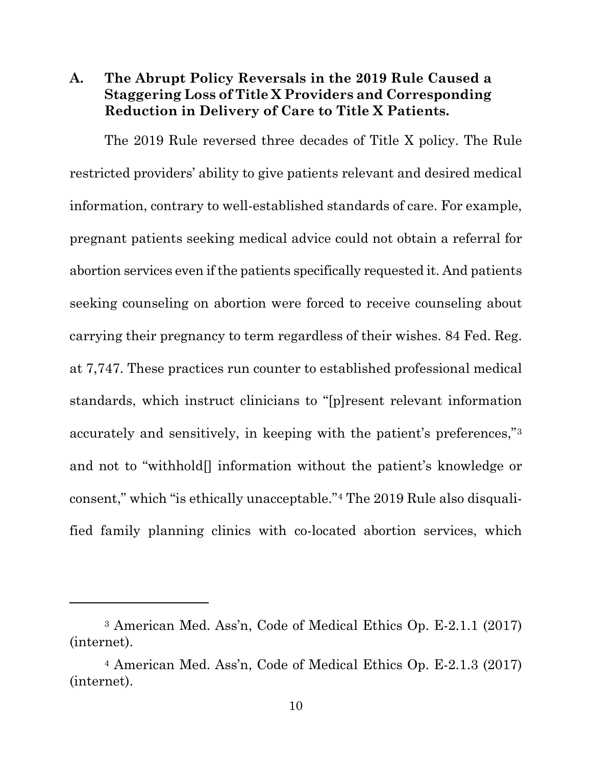#### <span id="page-17-0"></span>**A. The Abrupt Policy Reversals in the 2019 Rule Caused a Staggering Loss of Title X Providers and Corresponding Reduction in Delivery of Care to Title X Patients.**

<span id="page-17-1"></span>The 2019 Rule reversed three decades of Title X policy. The Rule restricted providers' ability to give patients relevant and desired medical information, contrary to well-established standards of care. For example, pregnant patients seeking medical advice could not obtain a referral for abortion services even if the patients specifically requested it. And patients seeking counseling on abortion were forced to receive counseling about carrying their pregnancy to term regardless of their wishes. 84 Fed. Reg. at 7,747. These practices run counter to established professional medical standards, which instruct clinicians to "[p]resent relevant information accurately and sensitively, in keeping with the patient's preferences,"[3](#page-17-4) and not to "withhold[] information without the patient's knowledge or consent," which "is ethically unacceptable."[4](#page-17-5) The 2019 Rule also disqualified family planning clinics with co-located abortion services, which

<span id="page-17-4"></span><span id="page-17-2"></span><sup>3</sup> American Med. Ass'n, Code of Medical Ethics Op. E-2.1.1 (2017) [\(internet\)](https://www.ama-assn.org/delivering-care/ethics/informed-consent).

<span id="page-17-5"></span><span id="page-17-3"></span><sup>4</sup> American Med. Ass'n, Code of Medical Ethics Op. E-2.1.3 (2017) [\(internet\)](https://www.ama-assn.org/delivering-care/ethics/withholding-information-patients).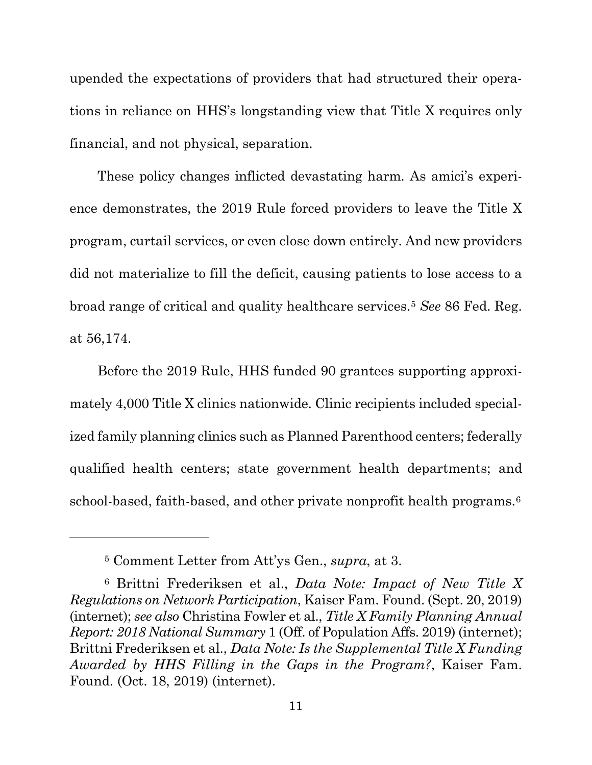upended the expectations of providers that had structured their operations in reliance on HHS's longstanding view that Title X requires only financial, and not physical, separation.

These policy changes inflicted devastating harm. As amici's experience demonstrates, the 2019 Rule forced providers to leave the Title X program, curtail services, or even close down entirely. And new providers did not materialize to fill the deficit, causing patients to lose access to a broad range of critical and quality healthcare services.[5](#page-18-3) *See* 86 Fed. Reg. at 56,174.

Before the 2019 Rule, HHS funded 90 grantees supporting approximately 4,000 Title X clinics nationwide. Clinic recipients included specialized family planning clinics such as Planned Parenthood centers; federally qualified health centers; state government health departments; and school-based, faith-based, and other private nonprofit health programs.<sup>[6](#page-18-4)</sup>

<span id="page-18-2"></span><span id="page-18-0"></span><sup>5</sup> Comment Letter from Att'ys Gen., *supra*, at 3.

<span id="page-18-4"></span><span id="page-18-3"></span><span id="page-18-1"></span><sup>6</sup> Brittni Frederiksen et al., *Data Note: Impact of New Title X Regulations on Network Participation*, Kaiser Fam. Found. (Sept. 20, 2019) [\(internet\)](https://www.kff.org/womens-health-policy/issue-brief/data-note-impact-of-new-title-x-regulations-on-network-participation/); *see also* Christina Fowler et al., *Title X Family Planning Annual Report: 2018 National Summary* 1 (Off. of Population Affs. 2019) [\(internet\)](https://opa.hhs.gov/sites/default/files/2020-07/title-x-fpar-2018-national-summary.pdf); Brittni Frederiksen et al., *Data Note: Is the Supplemental Title X Funding Awarded by HHS Filling in the Gaps in the Program?*, Kaiser Fam. Found. (Oct. 18, 2019) [\(internet\)](https://www.kff.org/womens-health-policy/issue-brief/data-note-is-the-supplemental-title-x-funding-awarded-by-hhs-filling-in-the-gaps-in-the-program/).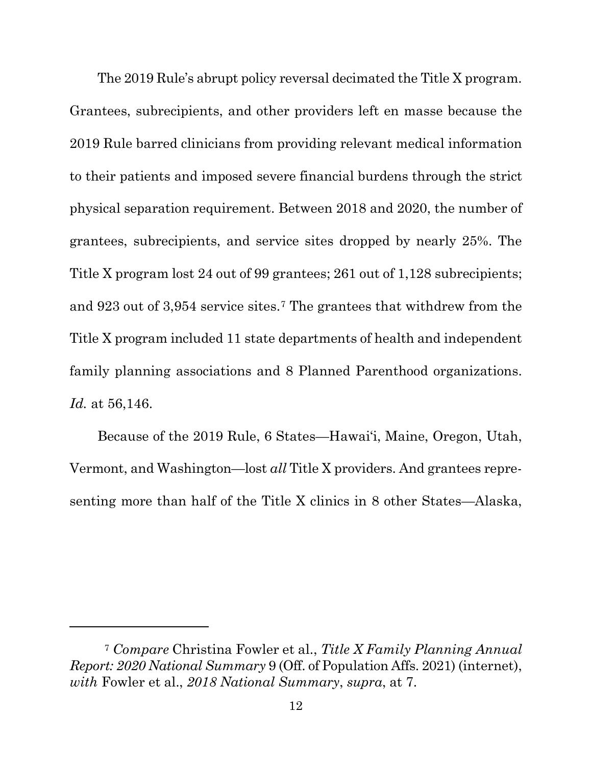The 2019 Rule's abrupt policy reversal decimated the Title X program. Grantees, subrecipients, and other providers left en masse because the 2019 Rule barred clinicians from providing relevant medical information to their patients and imposed severe financial burdens through the strict physical separation requirement. Between 2018 and 2020, the number of grantees, subrecipients, and service sites dropped by nearly 25%. The Title X program lost 24 out of 99 grantees; 261 out of 1,128 subrecipients; and 923 out of 3,954 service sites[.7](#page-19-2) The grantees that withdrew from the Title X program included 11 state departments of health and independent family planning associations and 8 Planned Parenthood organizations. *Id.* at 56,146.

Because of the 2019 Rule, 6 States—Hawai'i, Maine, Oregon, Utah, Vermont, and Washington—lost *all* Title X providers. And grantees representing more than half of the Title X clinics in 8 other States—Alaska,

<span id="page-19-2"></span><span id="page-19-1"></span><span id="page-19-0"></span><sup>7</sup> *Compare* Christina Fowler et al., *Title X Family Planning Annual Report: 2020 National Summary* 9 (Off. of Population Affs. 2021) [\(internet\)](https://opa.hhs.gov/sites/default/files/2021-09/title-x-fpar-2020-national-summary-sep-2021.pdf), *with* Fowler et al., *2018 National Summary*, *supra*, at 7.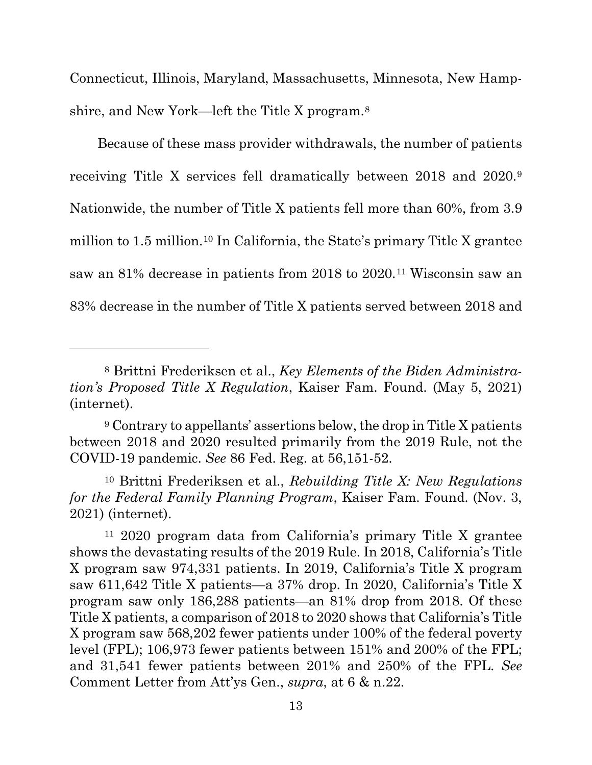Connecticut, Illinois, Maryland, Massachusetts, Minnesota, New Hampshire, and New York—left the Title X program.[8](#page-20-2)

Because of these mass provider withdrawals, the number of patients receiving Title X services fell dramatically between 2018 and 2020.[9](#page-20-3) Nationwide, the number of Title X patients fell more than 60%, from 3.9 million to 1.5 million.[10](#page-20-4) In California, the State's primary Title X grantee saw an 81% decrease in patients from 2018 to 2020.[11](#page-20-5) Wisconsin saw an 83% decrease in the number of Title X patients served between 2018 and

<span id="page-20-2"></span><span id="page-20-0"></span><sup>8</sup> Brittni Frederiksen et al., *Key Elements of the Biden Administration's Proposed Title X Regulation*, Kaiser Fam. Found. (May 5, 2021) [\(internet\)](https://www.kff.org/womens-health-policy/issue-brief/key-elements-of-the-biden-administrations-proposed-title-x-regulation/).

<span id="page-20-3"></span><sup>9</sup> Contrary to appellants' assertions below, the drop in Title X patients between 2018 and 2020 resulted primarily from the 2019 Rule, not the COVID-19 pandemic. *See* 86 Fed. Reg. at 56,151-52.

<span id="page-20-4"></span><span id="page-20-1"></span><sup>10</sup> Brittni Frederiksen et al., *Rebuilding Title X: New Regulations for the Federal Family Planning Program*, Kaiser Fam. Found. (Nov. 3, 2021) [\(internet\)](https://www.kff.org/womens-health-policy/issue-brief/rebuilding-title-x-new-regulations-for-the-federal-family-planning-program/).

<span id="page-20-5"></span><sup>11</sup> 2020 program data from California's primary Title X grantee shows the devastating results of the 2019 Rule. In 2018, California's Title X program saw 974,331 patients. In 2019, California's Title X program saw 611,642 Title X patients—a 37% drop. In 2020, California's Title X program saw only 186,288 patients—an 81% drop from 2018. Of these Title X patients, a comparison of 2018 to 2020 shows that California's Title X program saw 568,202 fewer patients under 100% of the federal poverty level (FPL); 106,973 fewer patients between 151% and 200% of the FPL; and 31,541 fewer patients between 201% and 250% of the FPL. *See*  Comment Letter from Att'ys Gen., *supra*, at 6 & n.22.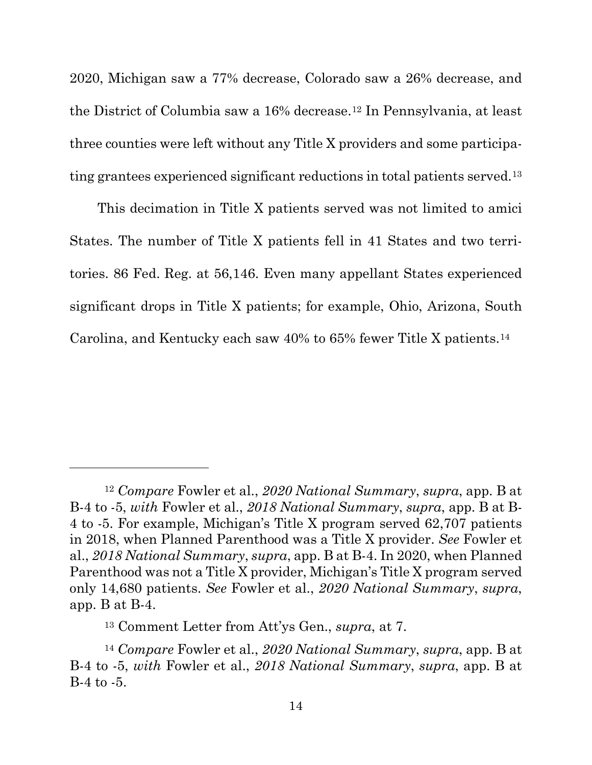2020, Michigan saw a 77% decrease, Colorado saw a 26% decrease, and the District of Columbia saw a 16% decrease.[12](#page-21-2) In Pennsylvania, at least three counties were left without any Title X providers and some participating grantees experienced significant reductions in total patients served.[13](#page-21-3)

This decimation in Title X patients served was not limited to amici States. The number of Title X patients fell in 41 States and two territories. 86 Fed. Reg. at 56,146. Even many appellant States experienced significant drops in Title X patients; for example, Ohio, Arizona, South Carolina, and Kentucky each saw 40% to 65% fewer Title X patients.[14](#page-21-4)

<span id="page-21-2"></span><span id="page-21-1"></span><span id="page-21-0"></span><sup>12</sup> *Compare* Fowler et al., *2020 National Summary*, *supra*, app. B at B-4 to -5, *with* Fowler et al., *2018 National Summary*, *supra*, app. B at B-4 to -5. For example, Michigan's Title X program served 62,707 patients in 2018, when Planned Parenthood was a Title X provider. *See* Fowler et al., *2018 National Summary*, *supra*, app. B at B-4. In 2020, when Planned Parenthood was not a Title X provider, Michigan's Title X program served only 14,680 patients. *See* Fowler et al., *2020 National Summary*, *supra*, app. B at B-4.

<sup>13</sup> Comment Letter from Att'ys Gen., *supra*, at 7.

<span id="page-21-4"></span><span id="page-21-3"></span><sup>14</sup> *Compare* Fowler et al., *2020 National Summary*, *supra*, app. B at B-4 to -5, *with* Fowler et al., *2018 National Summary*, *supra*, app. B at B-4 to -5.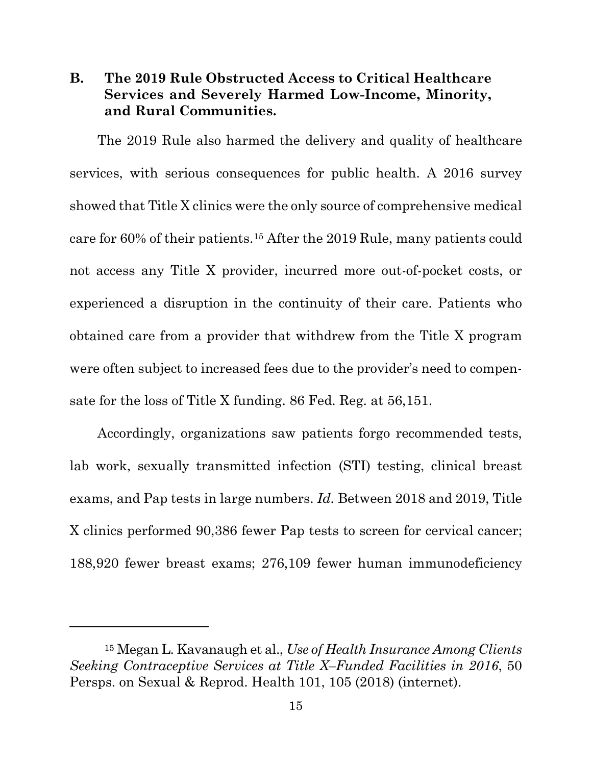#### <span id="page-22-0"></span>**B. The 2019 Rule Obstructed Access to Critical Healthcare Services and Severely Harmed Low-Income, Minority, and Rural Communities.**

The 2019 Rule also harmed the delivery and quality of healthcare services, with serious consequences for public health. A 2016 survey showed that Title X clinics were the only source of comprehensive medical care for 60% of their patients.[15](#page-22-2) After the 2019 Rule, many patients could not access any Title X provider, incurred more out-of-pocket costs, or experienced a disruption in the continuity of their care. Patients who obtained care from a provider that withdrew from the Title X program were often subject to increased fees due to the provider's need to compensate for the loss of Title X funding. 86 Fed. Reg. at 56,151.

Accordingly, organizations saw patients forgo recommended tests, lab work, sexually transmitted infection (STI) testing, clinical breast exams, and Pap tests in large numbers. *Id.* Between 2018 and 2019, Title X clinics performed 90,386 fewer Pap tests to screen for cervical cancer; 188,920 fewer breast exams; 276,109 fewer human immunodeficiency

<span id="page-22-2"></span><span id="page-22-1"></span><sup>15</sup> Megan L. Kavanaugh et al., *Use of Health Insurance Among Clients Seeking Contraceptive Services at Title X–Funded Facilities in 2016*, 50 Persps. on Sexual & Reprod. Health 101, 105 (2018) [\(internet\)](https://onlinelibrary.wiley.com/doi/epdf/10.1363/psrh.12061).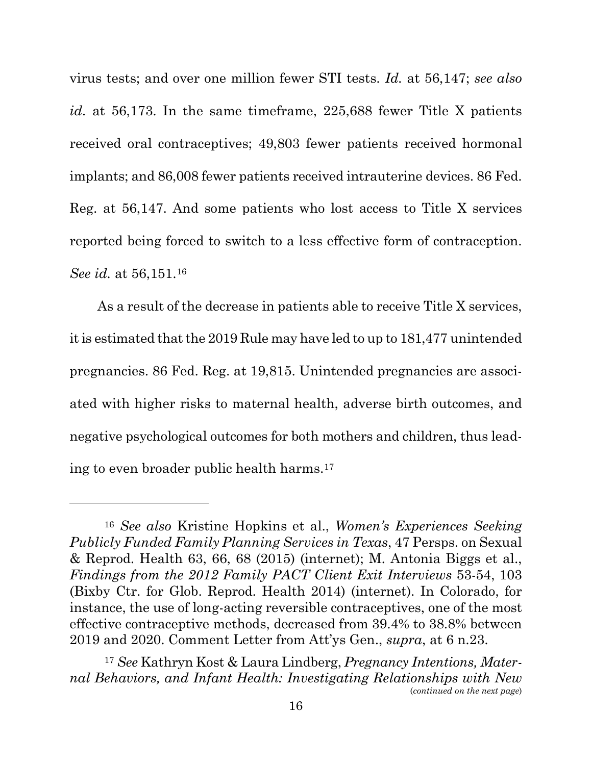virus tests; and over one million fewer STI tests. *Id.* at 56,147; *see also id.* at 56,173. In the same timeframe, 225,688 fewer Title X patients received oral contraceptives; 49,803 fewer patients received hormonal implants; and 86,008 fewer patients received intrauterine devices. 86 Fed. Reg. at 56,147. And some patients who lost access to Title X services reported being forced to switch to a less effective form of contraception. *See id.* at 56,151.[16](#page-23-4)

<span id="page-23-0"></span>As a result of the decrease in patients able to receive Title X services, it is estimated that the 2019 Rule may have led to up to 181,477 unintended pregnancies. 86 Fed. Reg. at 19,815. Unintended pregnancies are associated with higher risks to maternal health, adverse birth outcomes, and negative psychological outcomes for both mothers and children, thus leading to even broader public health harms[.17](#page-23-5)

<span id="page-23-4"></span><span id="page-23-3"></span><span id="page-23-2"></span><sup>16</sup> *See also* Kristine Hopkins et al., *Women's Experiences Seeking Publicly Funded Family Planning Services in Texas*, 47 Persps. on Sexual & Reprod. Health 63, 66, 68 (2015) [\(internet\)](https://www.ncbi.nlm.nih.gov/pmc/articles/PMC4478214/pdf/nihms658859.pdf); M. Antonia Biggs et al., *Findings from the 2012 Family PACT Client Exit Interviews* 53-54, 103 (Bixby Ctr. for Glob. Reprod. Health 2014) [\(internet\)](https://bixbycenter.ucsf.edu/sites/bixbycenter.ucsf.edu/files/3.%20CEI%20Report_ADA.pdf). In Colorado, for instance, the use of long-acting reversible contraceptives, one of the most effective contraceptive methods, decreased from 39.4% to 38.8% between 2019 and 2020. Comment Letter from Att'ys Gen., *supra*, at 6 n.23.

<span id="page-23-5"></span><span id="page-23-1"></span><sup>17</sup> *See* Kathryn Kost & Laura Lindberg, *Pregnancy Intentions, Maternal Behaviors, and Infant Health: Investigating Relationships with New*  (*continued on the next page*)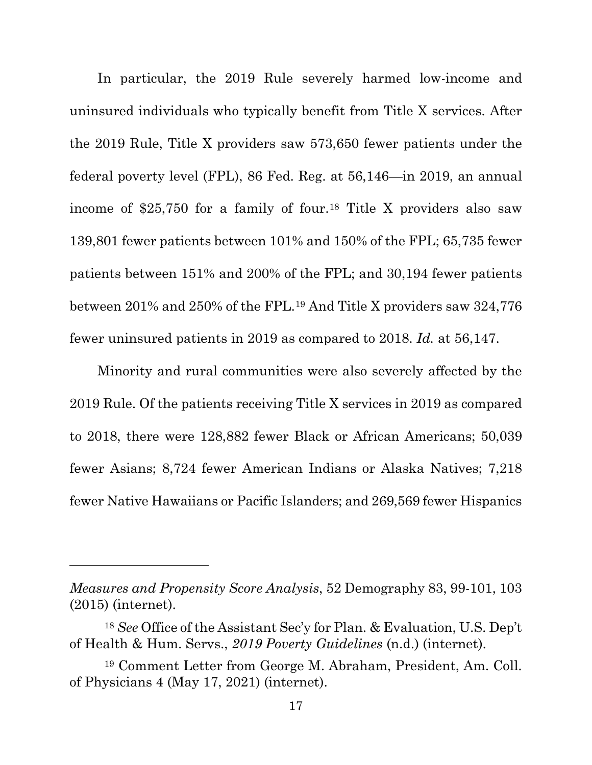In particular, the 2019 Rule severely harmed low-income and uninsured individuals who typically benefit from Title X services. After the 2019 Rule, Title X providers saw 573,650 fewer patients under the federal poverty level (FPL), 86 Fed. Reg. at 56,146—in 2019, an annual income of \$25,750 for a family of four.<sup>[18](#page-24-2)</sup> Title X providers also saw 139,801 fewer patients between 101% and 150% of the FPL; 65,735 fewer patients between 151% and 200% of the FPL; and 30,194 fewer patients between 201% and 250% of the FPL.[19](#page-24-3) And Title X providers saw 324,776 fewer uninsured patients in 2019 as compared to 2018. *Id.* at 56,147.

Minority and rural communities were also severely affected by the 2019 Rule. Of the patients receiving Title X services in 2019 as compared to 2018, there were 128,882 fewer Black or African Americans; 50,039 fewer Asians; 8,724 fewer American Indians or Alaska Natives; 7,218 fewer Native Hawaiians or Pacific Islanders; and 269,569 fewer Hispanics

*Measures and Propensity Score Analysis*, 52 Demography 83, 99-101, 103 (2015) [\(internet\)](https://read.dukeupress.edu/demography/article/52/1/83/169378/Pregnancy-Intentions-Maternal-Behaviors-and-Infant).

<span id="page-24-2"></span><span id="page-24-1"></span><sup>18</sup> *See* Office of the Assistant Sec'y for Plan. & Evaluation, U.S. Dep't of Health & Hum. Servs., *2019 Poverty Guidelines* (n.d.) [\(internet\)](https://aspe.hhs.gov/2019-poverty-guidelines).

<span id="page-24-3"></span><span id="page-24-0"></span><sup>19</sup> Comment Letter from George M. Abraham, President, Am. Coll. of Physicians 4 (May 17, 2021) [\(internet\)](https://www.regulations.gov/comment/HHS-OS-2021-0010-56001).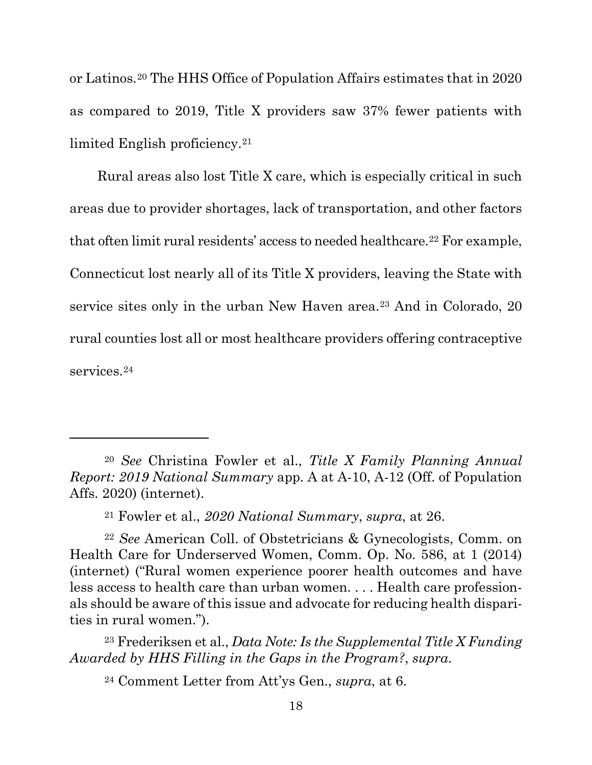or Latinos.[20](#page-25-4) The HHS Office of Population Affairs estimates that in 2020 as compared to 2019, Title X providers saw 37% fewer patients with limited English proficiency.<sup>21</sup>

Rural areas also lost Title X care, which is especially critical in such areas due to provider shortages, lack of transportation, and other factors that often limit rural residents' access to needed healthcare.<sup>22</sup> For example, Connecticut lost nearly all of its Title X providers, leaving the State with service sites only in the urban New Haven area.<sup>[23](#page-25-7)</sup> And in Colorado, 20 rural counties lost all or most healthcare providers offering contraceptive services.<sup>24</sup>

<span id="page-25-4"></span><span id="page-25-2"></span><sup>20</sup> *See* Christina Fowler et al., *Title X Family Planning Annual Report: 2019 National Summary* app. A at A-10, A-12 (Off. of Population Affs. 2020) [\(internet\)](https://opa.hhs.gov/sites/default/files/2020-09/title-x-fpar-2019-national-summary.pdf).

<span id="page-25-3"></span><span id="page-25-0"></span><sup>21</sup> Fowler et al., *2020 National Summary*, *supra*, at 26.

<span id="page-25-6"></span><span id="page-25-5"></span><sup>22</sup> *See* American Coll. of Obstetricians & Gynecologists, Comm. on Health Care for Underserved Women, Comm. Op. No. 586, at 1 (2014) [\(internet\)](https://www.acog.org/-/media/project/acog/acogorg/clinical/files/committee-opinion/articles/2014/02/health-disparities-in-rural-women.pdf) ("Rural women experience poorer health outcomes and have less access to health care than urban women. . . . Health care professionals should be aware of this issue and advocate for reducing health disparities in rural women.").

<span id="page-25-8"></span><span id="page-25-7"></span><sup>23</sup> Frederiksen et al., *Data Note: Is the Supplemental Title X Funding Awarded by HHS Filling in the Gaps in the Program?*, *supra*.

<span id="page-25-1"></span><sup>24</sup> Comment Letter from Att'ys Gen., *supra*, at 6.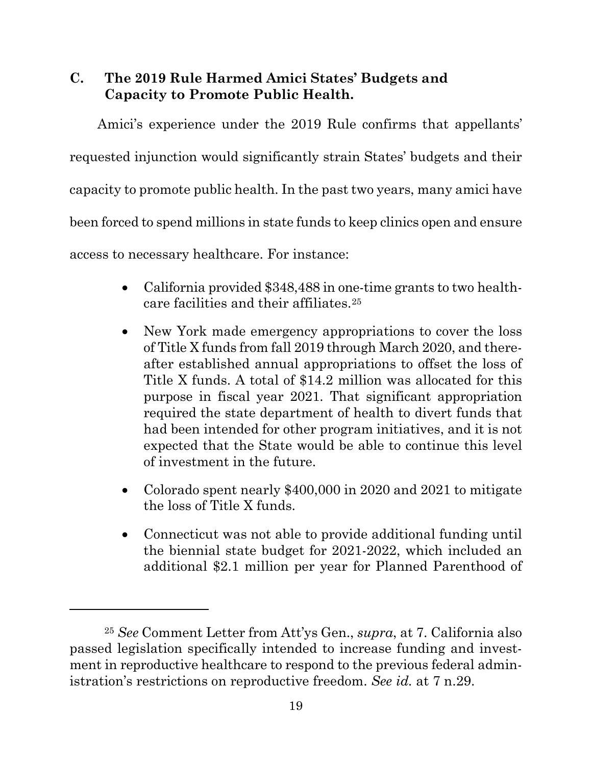### <span id="page-26-0"></span>**C. The 2019 Rule Harmed Amici States' Budgets and Capacity to Promote Public Health.**

Amici's experience under the 2019 Rule confirms that appellants' requested injunction would significantly strain States' budgets and their capacity to promote public health. In the past two years, many amici have been forced to spend millions in state funds to keep clinics open and ensure access to necessary healthcare. For instance:

- California provided \$348,488 in one-time grants to two healthcare facilities and their affiliates.[25](#page-26-1)
- New York made emergency appropriations to cover the loss of Title X funds from fall 2019 through March 2020, and thereafter established annual appropriations to offset the loss of Title X funds. A total of \$14.2 million was allocated for this purpose in fiscal year 2021. That significant appropriation required the state department of health to divert funds that had been intended for other program initiatives, and it is not expected that the State would be able to continue this level of investment in the future.
- Colorado spent nearly \$400,000 in 2020 and 2021 to mitigate the loss of Title X funds.
- Connecticut was not able to provide additional funding until the biennial state budget for 2021-2022, which included an additional \$2.1 million per year for Planned Parenthood of

<span id="page-26-1"></span><sup>25</sup> *See* Comment Letter from Att'ys Gen., *supra*, at 7. California also passed legislation specifically intended to increase funding and investment in reproductive healthcare to respond to the previous federal administration's restrictions on reproductive freedom. *See id.* at 7 n.29.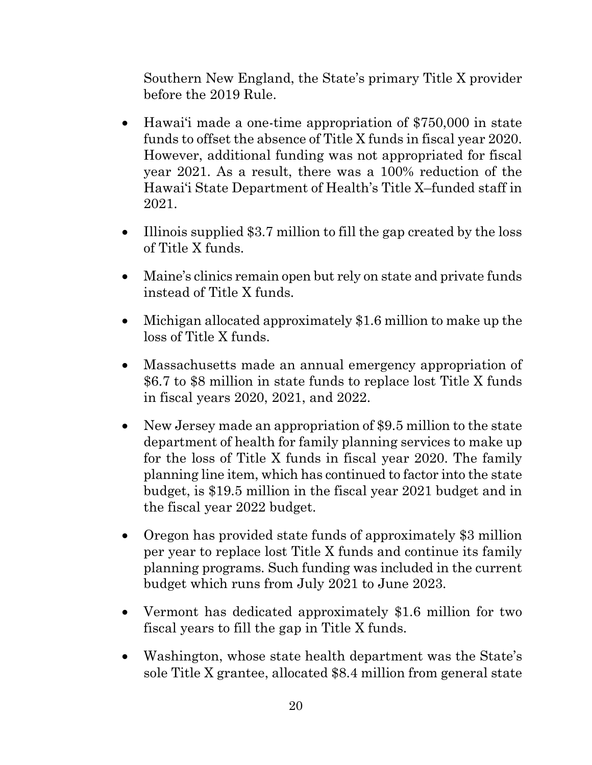Southern New England, the State's primary Title X provider before the 2019 Rule.

- Hawai'i made a one-time appropriation of \$750,000 in state funds to offset the absence of Title X funds in fiscal year 2020. However, additional funding was not appropriated for fiscal year 2021. As a result, there was a 100% reduction of the Hawai'i State Department of Health's Title X–funded staff in 2021.
- Illinois supplied \$3.7 million to fill the gap created by the loss of Title X funds.
- Maine's clinics remain open but rely on state and private funds instead of Title X funds.
- Michigan allocated approximately \$1.6 million to make up the loss of Title X funds.
- Massachusetts made an annual emergency appropriation of \$6.7 to \$8 million in state funds to replace lost Title X funds in fiscal years 2020, 2021, and 2022.
- New Jersey made an appropriation of \$9.5 million to the state department of health for family planning services to make up for the loss of Title X funds in fiscal year 2020. The family planning line item, which has continued to factor into the state budget, is \$19.5 million in the fiscal year 2021 budget and in the fiscal year 2022 budget.
- Oregon has provided state funds of approximately \$3 million per year to replace lost Title X funds and continue its family planning programs. Such funding was included in the current budget which runs from July 2021 to June 2023.
- Vermont has dedicated approximately \$1.6 million for two fiscal years to fill the gap in Title X funds.
- Washington, whose state health department was the State's sole Title X grantee, allocated \$8.4 million from general state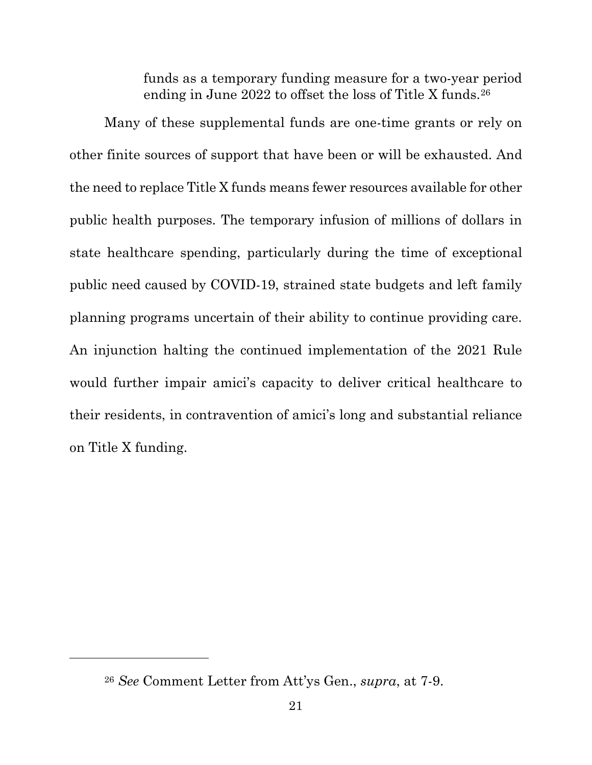funds as a temporary funding measure for a two-year period ending in June 2022 to offset the loss of Title X funds.<sup>[26](#page-28-0)</sup>

Many of these supplemental funds are one-time grants or rely on other finite sources of support that have been or will be exhausted. And the need to replace Title X funds means fewer resources available for other public health purposes. The temporary infusion of millions of dollars in state healthcare spending, particularly during the time of exceptional public need caused by COVID-19, strained state budgets and left family planning programs uncertain of their ability to continue providing care. An injunction halting the continued implementation of the 2021 Rule would further impair amici's capacity to deliver critical healthcare to their residents, in contravention of amici's long and substantial reliance on Title X funding.

<span id="page-28-0"></span><sup>26</sup> *See* Comment Letter from Att'ys Gen., *supra*, at 7-9.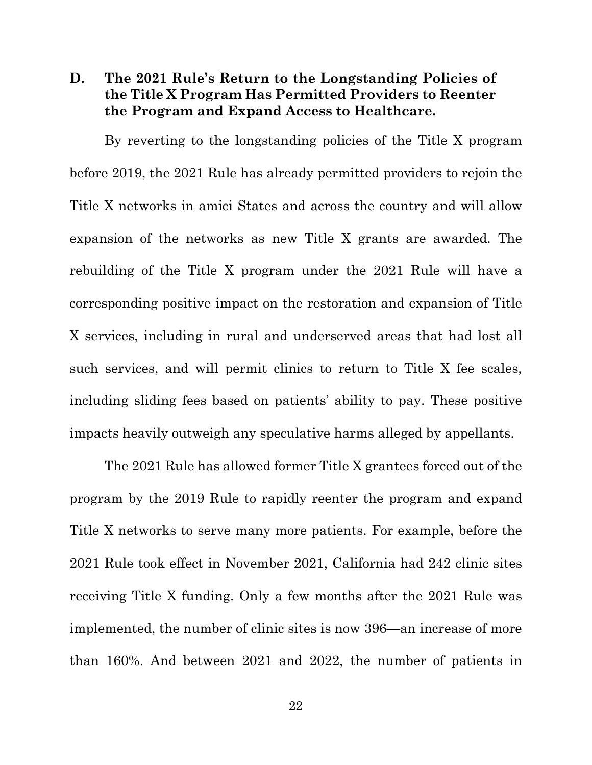#### <span id="page-29-0"></span>**D. The 2021 Rule's Return to the Longstanding Policies of the Title X Program Has Permitted Providers to Reenter the Program and Expand Access to Healthcare.**

By reverting to the longstanding policies of the Title X program before 2019, the 2021 Rule has already permitted providers to rejoin the Title X networks in amici States and across the country and will allow expansion of the networks as new Title X grants are awarded. The rebuilding of the Title X program under the 2021 Rule will have a corresponding positive impact on the restoration and expansion of Title X services, including in rural and underserved areas that had lost all such services, and will permit clinics to return to Title X fee scales, including sliding fees based on patients' ability to pay. These positive impacts heavily outweigh any speculative harms alleged by appellants.

The 2021 Rule has allowed former Title X grantees forced out of the program by the 2019 Rule to rapidly reenter the program and expand Title X networks to serve many more patients. For example, before the 2021 Rule took effect in November 2021, California had 242 clinic sites receiving Title X funding. Only a few months after the 2021 Rule was implemented, the number of clinic sites is now 396—an increase of more than 160%. And between 2021 and 2022, the number of patients in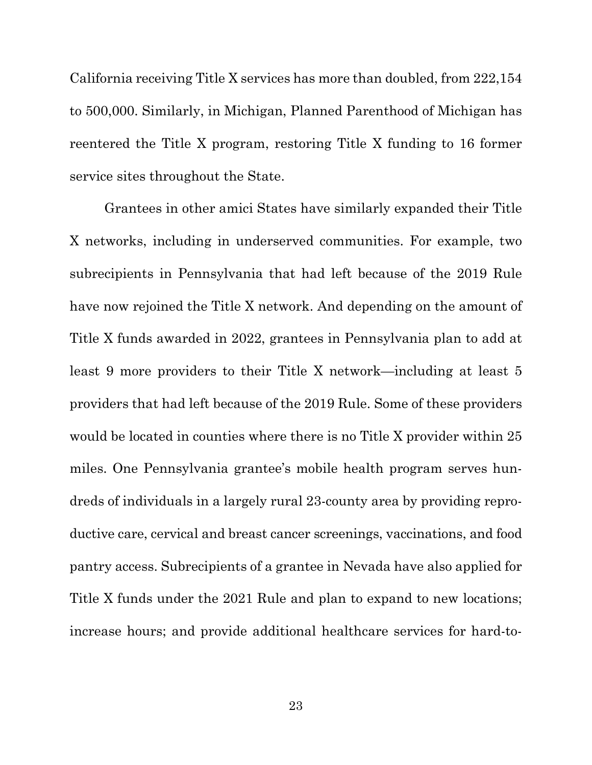California receiving Title X services has more than doubled, from 222,154 to 500,000. Similarly, in Michigan, Planned Parenthood of Michigan has reentered the Title X program, restoring Title X funding to 16 former service sites throughout the State.

Grantees in other amici States have similarly expanded their Title X networks, including in underserved communities. For example, two subrecipients in Pennsylvania that had left because of the 2019 Rule have now rejoined the Title X network. And depending on the amount of Title X funds awarded in 2022, grantees in Pennsylvania plan to add at least 9 more providers to their Title X network—including at least 5 providers that had left because of the 2019 Rule. Some of these providers would be located in counties where there is no Title X provider within 25 miles. One Pennsylvania grantee's mobile health program serves hundreds of individuals in a largely rural 23-county area by providing reproductive care, cervical and breast cancer screenings, vaccinations, and food pantry access. Subrecipients of a grantee in Nevada have also applied for Title X funds under the 2021 Rule and plan to expand to new locations; increase hours; and provide additional healthcare services for hard-to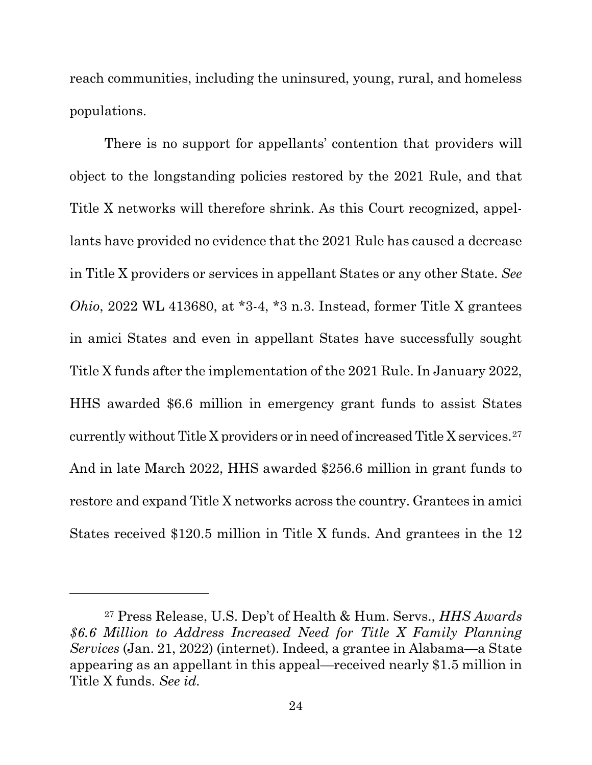reach communities, including the uninsured, young, rural, and homeless populations.

<span id="page-31-0"></span>There is no support for appellants' contention that providers will object to the longstanding policies restored by the 2021 Rule, and that Title X networks will therefore shrink. As this Court recognized, appellants have provided no evidence that the 2021 Rule has caused a decrease in Title X providers or services in appellant States or any other State. *See Ohio*, 2022 WL 413680, at \*3-4, \*3 n.3. Instead, former Title X grantees in amici States and even in appellant States have successfully sought Title X funds after the implementation of the 2021 Rule. In January 2022, HHS awarded \$6.6 million in emergency grant funds to assist States currently without Title X providers or in need of increased Title X services.[27](#page-31-2) And in late March 2022, HHS awarded \$256.6 million in grant funds to restore and expand Title X networks across the country. Grantees in amici States received \$120.5 million in Title X funds. And grantees in the 12

<span id="page-31-2"></span><span id="page-31-1"></span><sup>27</sup> Press Release, U.S. Dep't of Health & Hum. Servs., *HHS Awards \$6.6 Million to Address Increased Need for Title X Family Planning Services* (Jan. 21, 2022) [\(internet\)](https://www.hhs.gov/about/news/2022/01/21/hhs-awards-6.6-million-address-increased-need-for-title-x-family-planning-services.html). Indeed, a grantee in Alabama—a State appearing as an appellant in this appeal—received nearly \$1.5 million in Title X funds. *See id.*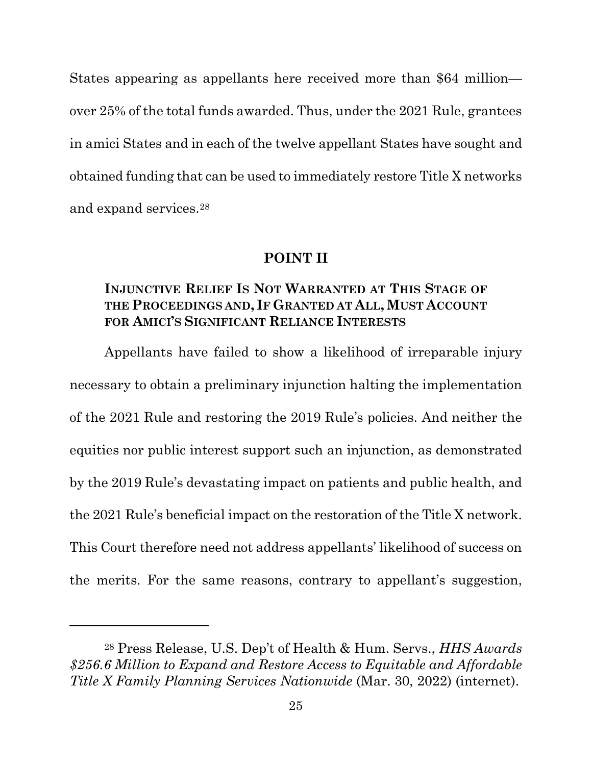States appearing as appellants here received more than \$64 million over 25% of the total funds awarded. Thus, under the 2021 Rule, grantees in amici States and in each of the twelve appellant States have sought and obtained funding that can be used to immediately restore Title X networks and expand services.[28](#page-32-3) 

#### **POINT II**

#### <span id="page-32-1"></span><span id="page-32-0"></span>**INJUNCTIVE RELIEF IS NOT WARRANTED AT THIS STAGE OF THE PROCEEDINGS AND, IF GRANTED AT ALL, MUST ACCOUNT FOR AMICI'S SIGNIFICANT RELIANCE INTERESTS**

Appellants have failed to show a likelihood of irreparable injury necessary to obtain a preliminary injunction halting the implementation of the 2021 Rule and restoring the 2019 Rule's policies. And neither the equities nor public interest support such an injunction, as demonstrated by the 2019 Rule's devastating impact on patients and public health, and the 2021 Rule's beneficial impact on the restoration of the Title X network. This Court therefore need not address appellants' likelihood of success on the merits. For the same reasons, contrary to appellant's suggestion,

<span id="page-32-3"></span><span id="page-32-2"></span><sup>28</sup> Press Release, U.S. Dep't of Health & Hum. Servs., *HHS Awards \$256.6 Million to Expand and Restore Access to Equitable and Affordable Title X Family Planning Services Nationwide* (Mar. 30, 2022) [\(internet\)](https://www.hhs.gov/about/news/2022/03/30/hhs-awards-256-million-to-expand-restore-access-to-equitable-affordable-title-x-family-planning-services-nationwide.html).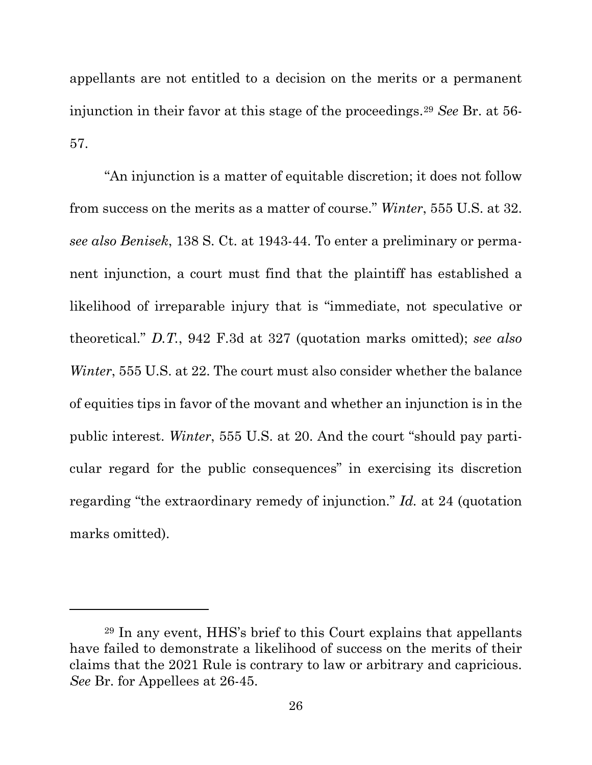appellants are not entitled to a decision on the merits or a permanent injunction in their favor at this stage of the proceedings.[29](#page-33-3) *See* Br. at 56- 57.

<span id="page-33-2"></span><span id="page-33-1"></span><span id="page-33-0"></span>"An injunction is a matter of equitable discretion; it does not follow from success on the merits as a matter of course." *Winter*, 555 U.S. at 32. *see also Benisek*, 138 S. Ct. at 1943-44. To enter a preliminary or permanent injunction, a court must find that the plaintiff has established a likelihood of irreparable injury that is "immediate, not speculative or theoretical." *D.T.*, 942 F.3d at 327 (quotation marks omitted); *see also Winter*, 555 U.S. at 22. The court must also consider whether the balance of equities tips in favor of the movant and whether an injunction is in the public interest. *Winter*, 555 U.S. at 20. And the court "should pay particular regard for the public consequences" in exercising its discretion regarding "the extraordinary remedy of injunction." *Id.* at 24 (quotation marks omitted).

<span id="page-33-3"></span><sup>29</sup> In any event, HHS's brief to this Court explains that appellants have failed to demonstrate a likelihood of success on the merits of their claims that the 2021 Rule is contrary to law or arbitrary and capricious. *See* Br. for Appellees at 26-45.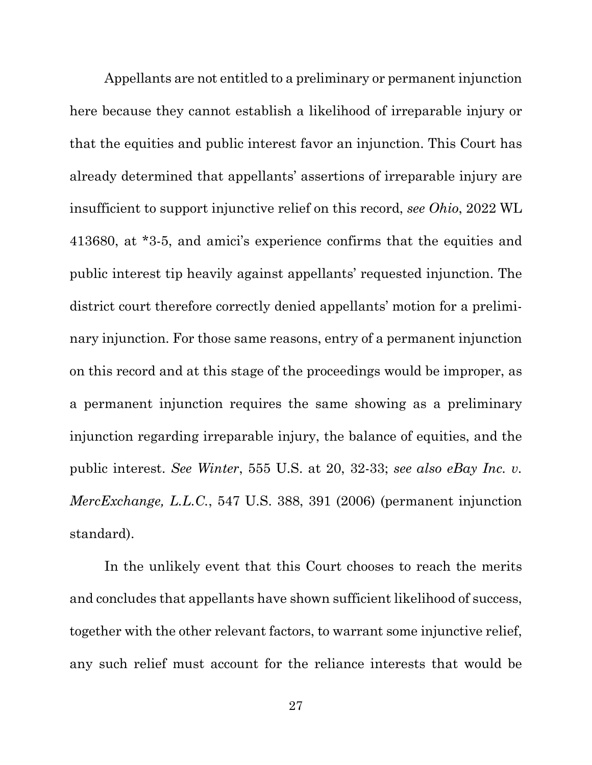<span id="page-34-1"></span>Appellants are not entitled to a preliminary or permanent injunction here because they cannot establish a likelihood of irreparable injury or that the equities and public interest favor an injunction. This Court has already determined that appellants' assertions of irreparable injury are insufficient to support injunctive relief on this record, *see Ohio*, 2022 WL 413680, at \*3-5, and amici's experience confirms that the equities and public interest tip heavily against appellants' requested injunction. The district court therefore correctly denied appellants' motion for a preliminary injunction. For those same reasons, entry of a permanent injunction on this record and at this stage of the proceedings would be improper, as a permanent injunction requires the same showing as a preliminary injunction regarding irreparable injury, the balance of equities, and the public interest. *See Winter*, 555 U.S. at 20, 32-33; *see also eBay Inc. v. MercExchange, L.L.C.*, 547 U.S. 388, 391 (2006) (permanent injunction standard).

<span id="page-34-2"></span><span id="page-34-0"></span>In the unlikely event that this Court chooses to reach the merits and concludes that appellants have shown sufficient likelihood of success, together with the other relevant factors, to warrant some injunctive relief, any such relief must account for the reliance interests that would be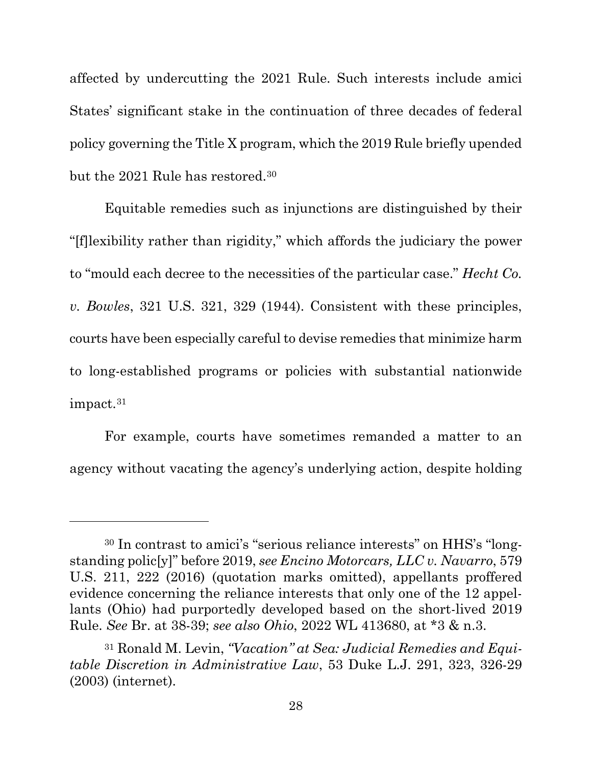affected by undercutting the 2021 Rule. Such interests include amici States' significant stake in the continuation of three decades of federal policy governing the Title X program, which the 2019 Rule briefly upended but the 2021 Rule has restored.[30](#page-35-4)

<span id="page-35-1"></span>Equitable remedies such as injunctions are distinguished by their "[f]lexibility rather than rigidity," which affords the judiciary the power to "mould each decree to the necessities of the particular case." *Hecht Co. v. Bowles*, 321 U.S. 321, 329 (1944). Consistent with these principles, courts have been especially careful to devise remedies that minimize harm to long-established programs or policies with substantial nationwide impact.[31](#page-35-5) 

For example, courts have sometimes remanded a matter to an agency without vacating the agency's underlying action, despite holding

<span id="page-35-4"></span><span id="page-35-0"></span><sup>30</sup> In contrast to amici's "serious reliance interests" on HHS's "longstanding polic[y]" before 2019, *see Encino Motorcars, LLC v. Navarro*, 579 U.S. 211, 222 (2016) (quotation marks omitted), appellants proffered evidence concerning the reliance interests that only one of the 12 appellants (Ohio) had purportedly developed based on the short-lived 2019 Rule. *See* Br. at 38-39; *see also Ohio*, 2022 WL 413680, at \*3 & n.3.

<span id="page-35-5"></span><span id="page-35-3"></span><span id="page-35-2"></span><sup>31</sup> Ronald M. Levin, *"Vacation" at Sea: Judicial Remedies and Equitable Discretion in Administrative Law*, 53 Duke L.J. 291, 323, 326-29 (2003) [\(internet\)](https://scholarship.law.duke.edu/cgi/viewcontent.cgi?article=1198&context=dlj).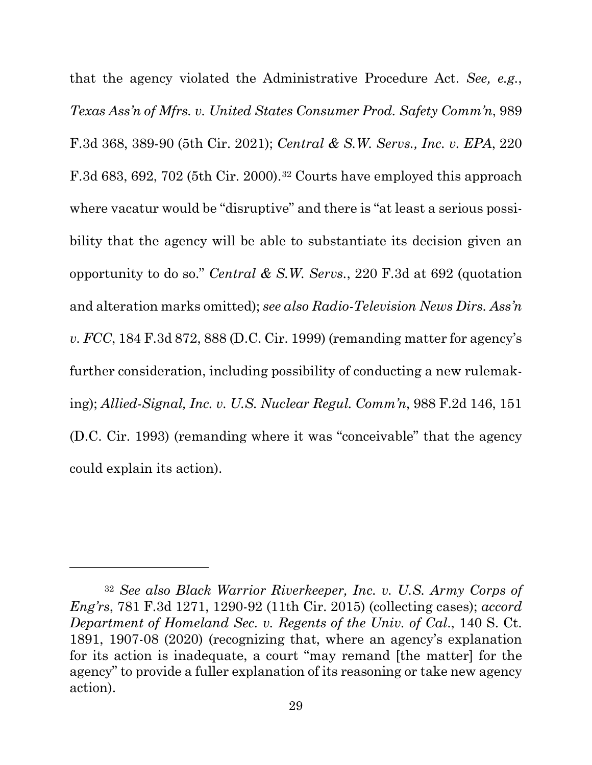<span id="page-36-5"></span><span id="page-36-4"></span><span id="page-36-2"></span>that the agency violated the Administrative Procedure Act. *See, e.g.*, *Texas Ass'n of Mfrs. v. United States Consumer Prod. Safety Comm'n*, 989 F.3d 368, 389-90 (5th Cir. 2021); *Central & S.W. Servs., Inc. v. EPA*, 220 F.3d 683, 692, 702 (5th Cir. 2000).[32](#page-36-6) Courts have employed this approach where vacatur would be "disruptive" and there is "at least a serious possibility that the agency will be able to substantiate its decision given an opportunity to do so." *Central & S.W. Servs.*, 220 F.3d at 692 (quotation and alteration marks omitted); *see also Radio-Television News Dirs. Ass'n v. FCC*, 184 F.3d 872, 888 (D.C. Cir. 1999) (remanding matter for agency's further consideration, including possibility of conducting a new rulemaking); *Allied-Signal, Inc. v. U.S. Nuclear Regul. Comm'n*, 988 F.2d 146, 151 (D.C. Cir. 1993) (remanding where it was "conceivable" that the agency could explain its action).

<span id="page-36-6"></span><span id="page-36-3"></span><span id="page-36-1"></span><span id="page-36-0"></span><sup>32</sup> *See also Black Warrior Riverkeeper, Inc. v. U.S. Army Corps of Eng'rs*, 781 F.3d 1271, 1290-92 (11th Cir. 2015) (collecting cases); *accord Department of Homeland Sec. v. Regents of the Univ. of Cal*., 140 S. Ct. 1891, 1907-08 (2020) (recognizing that, where an agency's explanation for its action is inadequate, a court "may remand [the matter] for the agency" to provide a fuller explanation of its reasoning or take new agency action).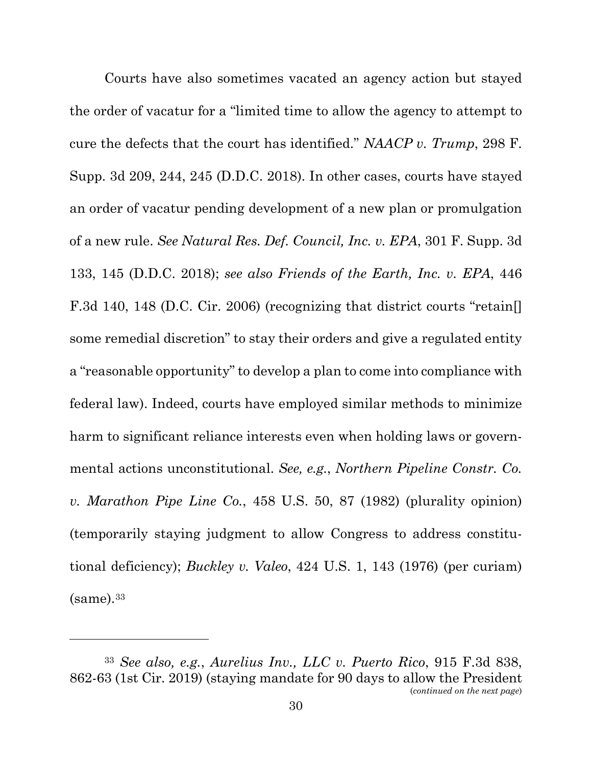<span id="page-37-4"></span><span id="page-37-3"></span><span id="page-37-2"></span>Courts have also sometimes vacated an agency action but stayed the order of vacatur for a "limited time to allow the agency to attempt to cure the defects that the court has identified." *NAACP v. Trump*, 298 F. Supp. 3d 209, 244, 245 (D.D.C. 2018). In other cases, courts have stayed an order of vacatur pending development of a new plan or promulgation of a new rule. *See Natural Res. Def. Council, Inc. v. EPA*, 301 F. Supp. 3d 133, 145 (D.D.C. 2018); *see also Friends of the Earth, Inc. v. EPA*, 446 F.3d 140, 148 (D.C. Cir. 2006) (recognizing that district courts "retain. some remedial discretion" to stay their orders and give a regulated entity a "reasonable opportunity" to develop a plan to come into compliance with federal law). Indeed, courts have employed similar methods to minimize harm to significant reliance interests even when holding laws or governmental actions unconstitutional. *See, e.g.*, *Northern Pipeline Constr. Co. v. Marathon Pipe Line Co.*, 458 U.S. 50, 87 (1982) (plurality opinion) (temporarily staying judgment to allow Congress to address constitutional deficiency); *Buckley v. Valeo*, 424 U.S. 1, 143 (1976) (per curiam)  $(same).<sup>33</sup>$  $(same).<sup>33</sup>$  $(same).<sup>33</sup>$ 

<span id="page-37-6"></span><span id="page-37-5"></span><span id="page-37-1"></span><span id="page-37-0"></span><sup>33</sup> *See also, e.g.*, *Aurelius Inv., LLC v. Puerto Rico*, 915 F.3d 838, 862-63 (1st Cir. 2019) (staying mandate for 90 days to allow the President (*continued on the next page*)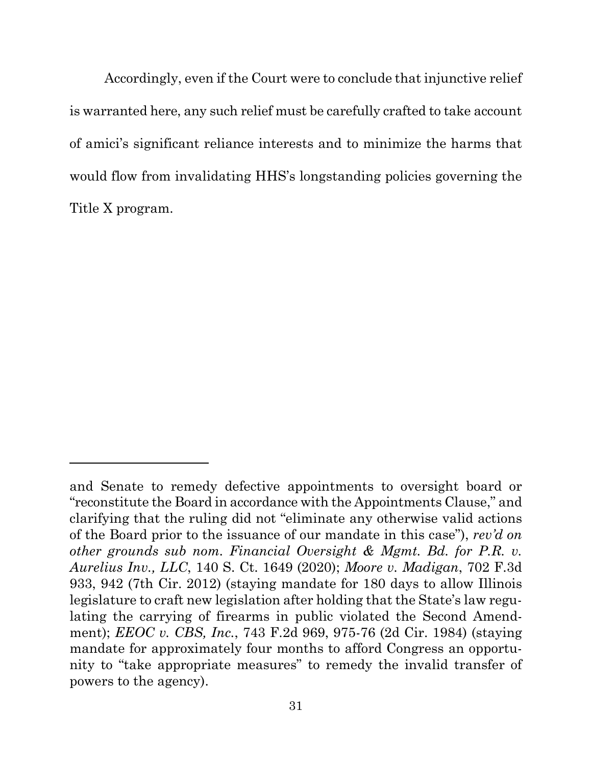Accordingly, even if the Court were to conclude that injunctive relief is warranted here, any such relief must be carefully crafted to take account of amici's significant reliance interests and to minimize the harms that would flow from invalidating HHS's longstanding policies governing the Title X program.

<span id="page-38-1"></span><span id="page-38-0"></span>and Senate to remedy defective appointments to oversight board or "reconstitute the Board in accordance with the Appointments Clause," and clarifying that the ruling did not "eliminate any otherwise valid actions of the Board prior to the issuance of our mandate in this case"), *rev'd on other grounds sub nom. Financial Oversight & Mgmt. Bd. for P.R. v. Aurelius Inv., LLC*, 140 S. Ct. 1649 (2020); *Moore v. Madigan*, 702 F.3d 933, 942 (7th Cir. 2012) (staying mandate for 180 days to allow Illinois legislature to craft new legislation after holding that the State's law regulating the carrying of firearms in public violated the Second Amendment); *EEOC v. CBS, Inc.*, 743 F.2d 969, 975-76 (2d Cir. 1984) (staying mandate for approximately four months to afford Congress an opportunity to "take appropriate measures" to remedy the invalid transfer of powers to the agency).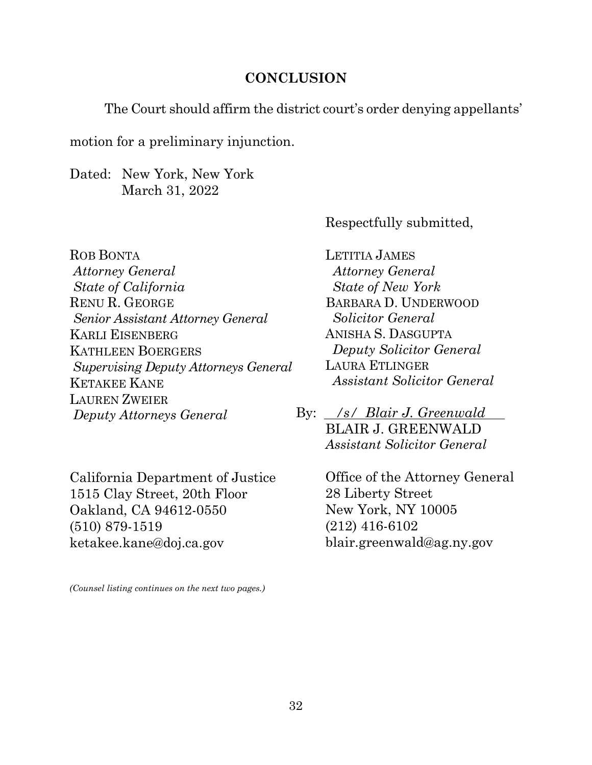#### **CONCLUSION**

<span id="page-39-0"></span>The Court should affirm the district court's order denying appellants'

motion for a preliminary injunction.

Dated: New York, New York March 31, 2022

Respectfully submitted,

ROB BONTA *Attorney General State of California*  RENU R. GEORGE *Senior Assistant Attorney General* KARLI EISENBERG KATHLEEN BOERGERS *Supervising Deputy Attorneys General* KETAKEE KANE LAUREN ZWEIER *Deputy Attorneys General* 

California Department of Justice 1515 Clay Street, 20th Floor Oakland, CA 94612-0550 (510) 879-1519 ketakee.kane@doj.ca.gov

*(Counsel listing continues on the next two pages.)*

LETITIA JAMES *Attorney General State of New York* BARBARA D. UNDERWOOD  *Solicitor General*  ANISHA S. DASGUPTA *Deputy Solicitor General* LAURA ETLINGER *Assistant Solicitor General*

By: /s/ *Blair J. Greenwald* BLAIR J. GREENWALD *Assistant Solicitor General*

> Office of the Attorney General 28 Liberty Street New York, NY 10005 (212) 416-6102 blair.greenwald@ag.ny.gov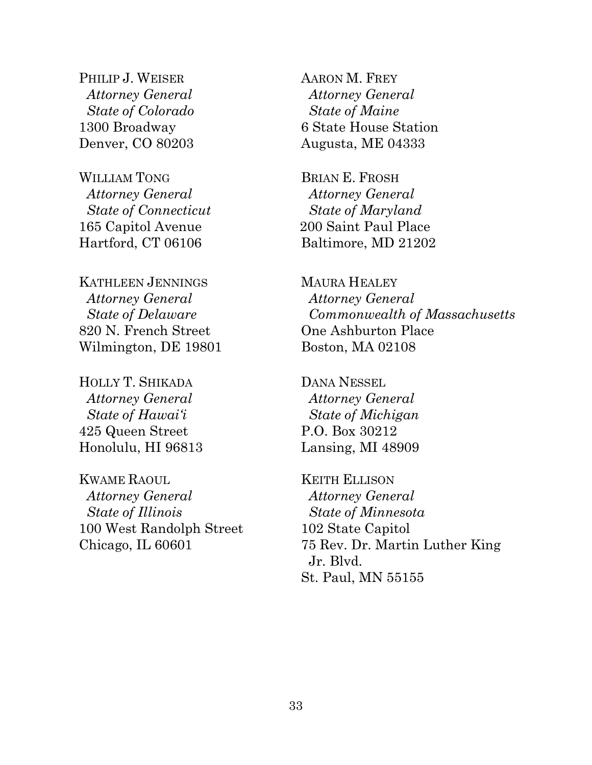PHILIP J. WEISER *Attorney General State of Colorado* 1300 Broadway Denver, CO 80203

WILLIAM TONG  *Attorney General State of Connecticut*  165 Capitol Avenue Hartford, CT 06106

KATHLEEN JENNINGS  *Attorney General State of Delaware*  820 N. French Street Wilmington, DE 19801

HOLLY T. SHIKADA  *Attorney General State of Hawai'i*  425 Queen Street Honolulu, HI 96813

KWAME RAOUL *Attorney General State of Illinois* 100 West Randolph Street Chicago, IL 60601

AARON M. FREY *Attorney General State of Maine* 6 State House Station Augusta, ME 04333

BRIAN E. FROSH *Attorney General State of Maryland* 200 Saint Paul Place Baltimore, MD 21202

MAURA HEALEY *Attorney General Commonwealth of Massachusetts* One Ashburton Place Boston, MA 02108

DANA NESSEL  *Attorney General State of Michigan* P.O. Box 30212 Lansing, MI 48909

KEITH ELLISON *Attorney General State of Minnesota* 102 State Capitol 75 Rev. Dr. Martin Luther King Jr. Blvd. St. Paul, MN 55155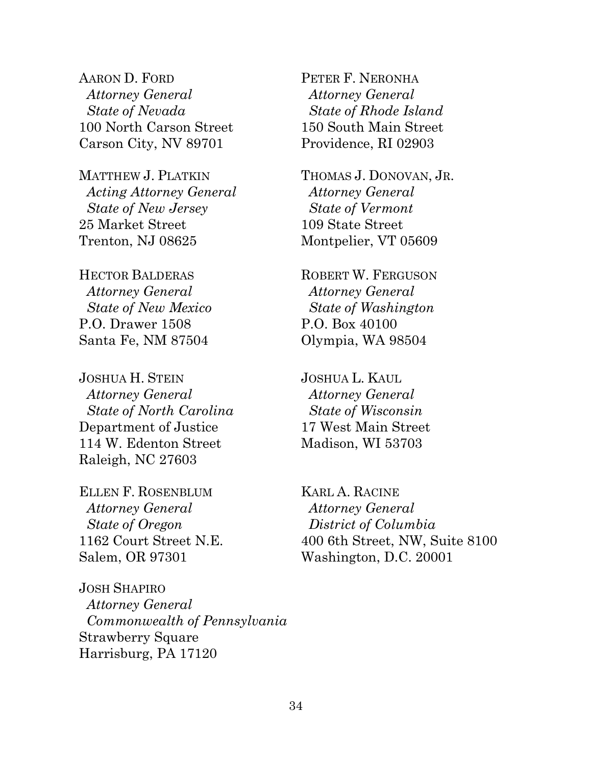AARON D. FORD *Attorney General State of Nevada* 100 North Carson Street Carson City, NV 89701

MATTHEW J. PLATKIN  *Acting Attorney General State of New Jersey* 25 Market Street Trenton, NJ 08625

HECTOR BALDERAS  *Attorney General State of New Mexico* P.O. Drawer 1508 Santa Fe, NM 87504

JOSHUA H. STEIN  *Attorney General State of North Carolina* Department of Justice 114 W. Edenton Street Raleigh, NC 27603

ELLEN F. ROSENBLUM  *Attorney General State of Oregon* 1162 Court Street N.E. Salem, OR 97301

JOSH SHAPIRO *Attorney General Commonwealth of Pennsylvania* Strawberry Square Harrisburg, PA 17120

PETER F. NERONHA *Attorney General State of Rhode Island* 150 South Main Street Providence, RI 02903

THOMAS J. DONOVAN, JR.  *Attorney General State of Vermont* 109 State Street Montpelier, VT 05609

ROBERT W. FERGUSON  *Attorney General State of Washington*  P.O. Box 40100 Olympia, WA 98504

JOSHUA L. KAUL  *Attorney General State of Wisconsin*  17 West Main Street Madison, WI 53703

KARL A. RACINE *Attorney General District of Columbia* 400 6th Street, NW, Suite 8100 Washington, D.C. 20001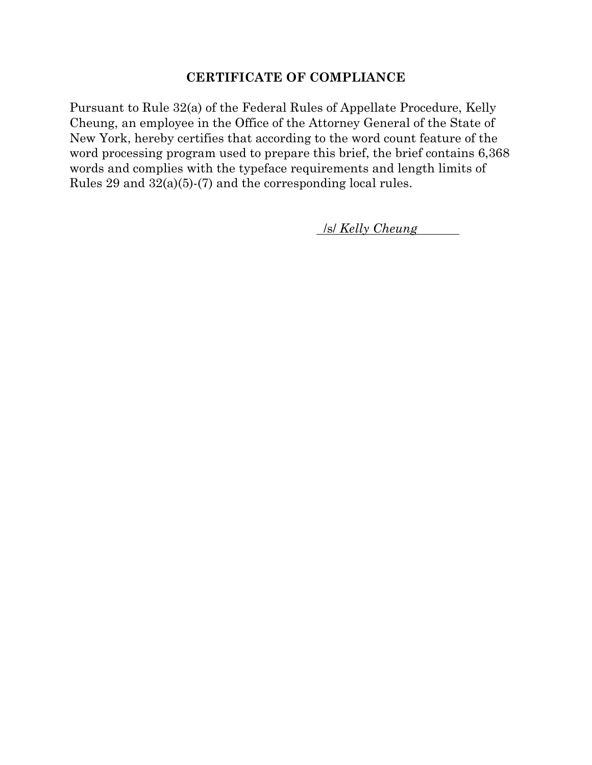#### **CERTIFICATE OF COMPLIANCE**

Pursuant to Rule 32(a) of the Federal Rules of Appellate Procedure, Kelly Cheung, an employee in the Office of the Attorney General of the State of New York, hereby certifies that according to the word count feature of the word processing program used to prepare this brief, the brief contains 6,368 words and complies with the typeface requirements and length limits of Rules 29 and 32(a)(5)-(7) and the corresponding local rules.

. /s/ *Kelly Cheung* .